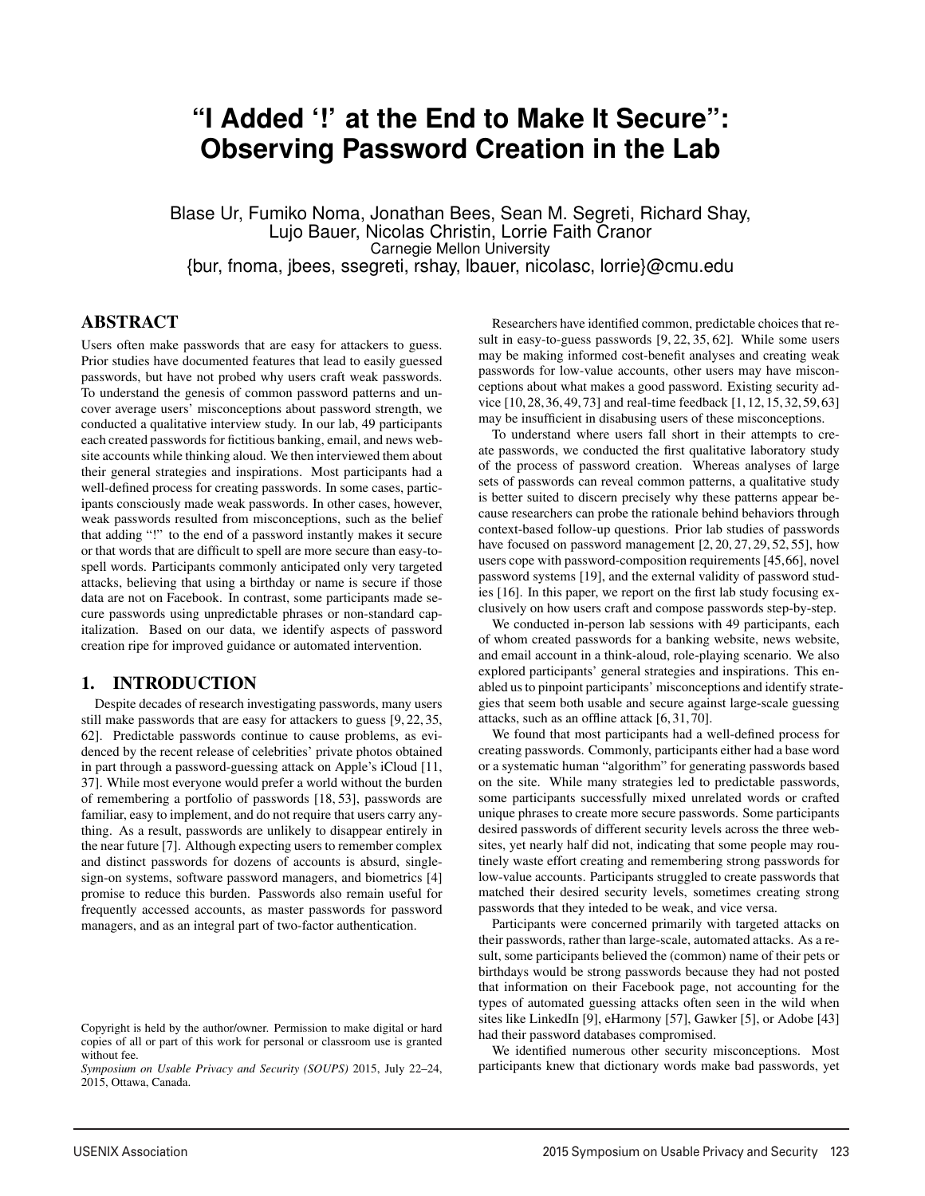# **"I Added '!' at the End to Make It Secure": Observing Password Creation in the Lab**

Blase Ur, Fumiko Noma, Jonathan Bees, Sean M. Segreti, Richard Shay, Lujo Bauer, Nicolas Christin, Lorrie Faith Cranor Carnegie Mellon University {bur, fnoma, jbees, ssegreti, rshay, lbauer, nicolasc, lorrie}@cmu.edu

1

# ABSTRACT

Users often make passwords that are easy for attackers to guess. Prior studies have documented features that lead to easily guessed passwords, but have not probed why users craft weak passwords. To understand the genesis of common password patterns and uncover average users' misconceptions about password strength, we conducted a qualitative interview study. In our lab, 49 participants each created passwords for fictitious banking, email, and news website accounts while thinking aloud. We then interviewed them about their general strategies and inspirations. Most participants had a well-defined process for creating passwords. In some cases, participants consciously made weak passwords. In other cases, however, weak passwords resulted from misconceptions, such as the belief that adding "!" to the end of a password instantly makes it secure or that words that are difficult to spell are more secure than easy-tospell words. Participants commonly anticipated only very targeted attacks, believing that using a birthday or name is secure if those data are not on Facebook. In contrast, some participants made secure passwords using unpredictable phrases or non-standard capitalization. Based on our data, we identify aspects of password creation ripe for improved guidance or automated intervention.

# 1. INTRODUCTION

Despite decades of research investigating passwords, many users still make passwords that are easy for attackers to guess [9, 22, 35, 62]. Predictable passwords continue to cause problems, as evidenced by the recent release of celebrities' private photos obtained in part through a password-guessing attack on Apple's iCloud [11, 37]. While most everyone would prefer a world without the burden of remembering a portfolio of passwords [18, 53], passwords are familiar, easy to implement, and do not require that users carry anything. As a result, passwords are unlikely to disappear entirely in the near future [7]. Although expecting users to remember complex and distinct passwords for dozens of accounts is absurd, singlesign-on systems, software password managers, and biometrics [4] promise to reduce this burden. Passwords also remain useful for frequently accessed accounts, as master passwords for password managers, and as an integral part of two-factor authentication.

Researchers have identified common, predictable choices that result in easy-to-guess passwords [9, 22, 35, 62]. While some users may be making informed cost-benefit analyses and creating weak passwords for low-value accounts, other users may have misconceptions about what makes a good password. Existing security advice [10,28,36,49,73] and real-time feedback [1,12,15,32,59,63] may be insufficient in disabusing users of these misconceptions.

To understand where users fall short in their attempts to create passwords, we conducted the first qualitative laboratory study of the process of password creation. Whereas analyses of large sets of passwords can reveal common patterns, a qualitative study is better suited to discern precisely why these patterns appear because researchers can probe the rationale behind behaviors through context-based follow-up questions. Prior lab studies of passwords have focused on password management [2, 20, 27, 29, 52, 55], how users cope with password-composition requirements [45,66], novel password systems [19], and the external validity of password studies [16]. In this paper, we report on the first lab study focusing exclusively on how users craft and compose passwords step-by-step.

We conducted in-person lab sessions with 49 participants, each of whom created passwords for a banking website, news website, and email account in a think-aloud, role-playing scenario. We also explored participants' general strategies and inspirations. This enabled us to pinpoint participants' misconceptions and identify strategies that seem both usable and secure against large-scale guessing attacks, such as an offline attack [6, 31, 70].

We found that most participants had a well-defined process for creating passwords. Commonly, participants either had a base word or a systematic human "algorithm" for generating passwords based on the site. While many strategies led to predictable passwords, some participants successfully mixed unrelated words or crafted unique phrases to create more secure passwords. Some participants desired passwords of different security levels across the three websites, yet nearly half did not, indicating that some people may routinely waste effort creating and remembering strong passwords for low-value accounts. Participants struggled to create passwords that matched their desired security levels, sometimes creating strong passwords that they inteded to be weak, and vice versa.

Participants were concerned primarily with targeted attacks on their passwords, rather than large-scale, automated attacks. As a result, some participants believed the (common) name of their pets or birthdays would be strong passwords because they had not posted that information on their Facebook page, not accounting for the types of automated guessing attacks often seen in the wild when sites like LinkedIn [9], eHarmony [57], Gawker [5], or Adobe [43] had their password databases compromised.

We identified numerous other security misconceptions. Most participants knew that dictionary words make bad passwords, yet

Copyright is held by the author/owner. Permission to make digital or hard copies of all or part of this work for personal or classroom use is granted without fee.

*Symposium on Usable Privacy and Security (SOUPS)* 2015, July 22–24, 2015, Ottawa, Canada.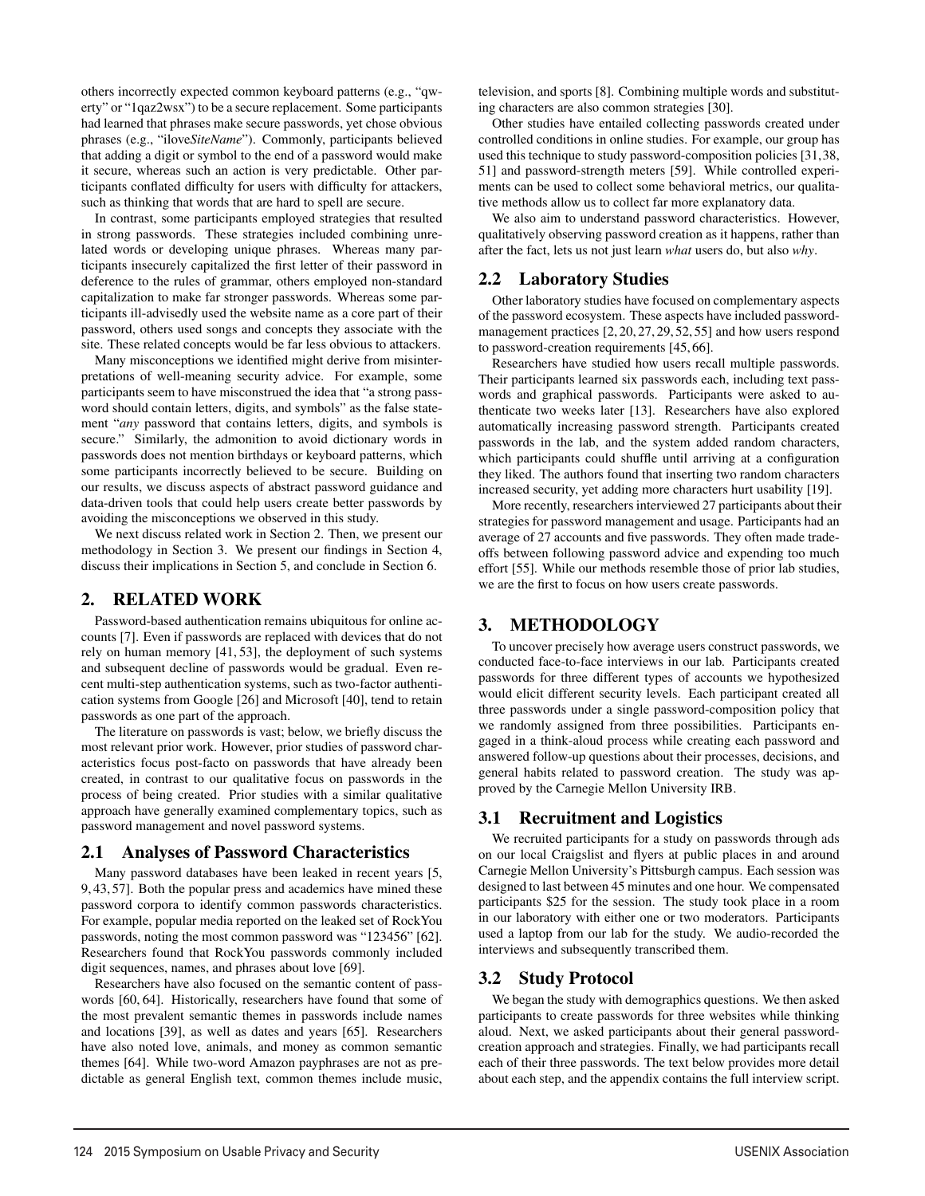others incorrectly expected common keyboard patterns (e.g., "qwerty" or "1qaz2wsx") to be a secure replacement. Some participants had learned that phrases make secure passwords, yet chose obvious phrases (e.g., "ilove*SiteName*"). Commonly, participants believed that adding a digit or symbol to the end of a password would make it secure, whereas such an action is very predictable. Other participants conflated difficulty for users with difficulty for attackers, such as thinking that words that are hard to spell are secure.

In contrast, some participants employed strategies that resulted in strong passwords. These strategies included combining unrelated words or developing unique phrases. Whereas many participants insecurely capitalized the first letter of their password in deference to the rules of grammar, others employed non-standard capitalization to make far stronger passwords. Whereas some participants ill-advisedly used the website name as a core part of their password, others used songs and concepts they associate with the site. These related concepts would be far less obvious to attackers.

Many misconceptions we identified might derive from misinterpretations of well-meaning security advice. For example, some participants seem to have misconstrued the idea that "a strong password should contain letters, digits, and symbols" as the false statement "*any* password that contains letters, digits, and symbols is secure." Similarly, the admonition to avoid dictionary words in passwords does not mention birthdays or keyboard patterns, which some participants incorrectly believed to be secure. Building on our results, we discuss aspects of abstract password guidance and data-driven tools that could help users create better passwords by avoiding the misconceptions we observed in this study.

We next discuss related work in Section 2. Then, we present our methodology in Section 3. We present our findings in Section 4, discuss their implications in Section 5, and conclude in Section 6.

### 2. RELATED WORK

Password-based authentication remains ubiquitous for online accounts [7]. Even if passwords are replaced with devices that do not rely on human memory [41, 53], the deployment of such systems and subsequent decline of passwords would be gradual. Even recent multi-step authentication systems, such as two-factor authentication systems from Google [26] and Microsoft [40], tend to retain passwords as one part of the approach.

The literature on passwords is vast; below, we briefly discuss the most relevant prior work. However, prior studies of password characteristics focus post-facto on passwords that have already been created, in contrast to our qualitative focus on passwords in the process of being created. Prior studies with a similar qualitative approach have generally examined complementary topics, such as password management and novel password systems.

### 2.1 Analyses of Password Characteristics

Many password databases have been leaked in recent years [5, 9, 43, 57]. Both the popular press and academics have mined these password corpora to identify common passwords characteristics. For example, popular media reported on the leaked set of RockYou passwords, noting the most common password was "123456" [62]. Researchers found that RockYou passwords commonly included digit sequences, names, and phrases about love [69].

Researchers have also focused on the semantic content of passwords [60, 64]. Historically, researchers have found that some of the most prevalent semantic themes in passwords include names and locations [39], as well as dates and years [65]. Researchers have also noted love, animals, and money as common semantic themes [64]. While two-word Amazon payphrases are not as predictable as general English text, common themes include music,

television, and sports [8]. Combining multiple words and substituting characters are also common strategies [30].

Other studies have entailed collecting passwords created under controlled conditions in online studies. For example, our group has used this technique to study password-composition policies [31,38, 51] and password-strength meters [59]. While controlled experiments can be used to collect some behavioral metrics, our qualitative methods allow us to collect far more explanatory data.

We also aim to understand password characteristics. However, qualitatively observing password creation as it happens, rather than after the fact, lets us not just learn *what* users do, but also *why*.

# 2.2 Laboratory Studies

Other laboratory studies have focused on complementary aspects of the password ecosystem. These aspects have included passwordmanagement practices [2, 20, 27, 29, 52, 55] and how users respond to password-creation requirements [45, 66].

Researchers have studied how users recall multiple passwords. Their participants learned six passwords each, including text passwords and graphical passwords. Participants were asked to authenticate two weeks later [13]. Researchers have also explored automatically increasing password strength. Participants created passwords in the lab, and the system added random characters, which participants could shuffle until arriving at a configuration they liked. The authors found that inserting two random characters increased security, yet adding more characters hurt usability [19].

More recently, researchers interviewed 27 participants about their strategies for password management and usage. Participants had an average of 27 accounts and five passwords. They often made tradeoffs between following password advice and expending too much effort [55]. While our methods resemble those of prior lab studies, we are the first to focus on how users create passwords.

# 3. METHODOLOGY

To uncover precisely how average users construct passwords, we conducted face-to-face interviews in our lab. Participants created passwords for three different types of accounts we hypothesized would elicit different security levels. Each participant created all three passwords under a single password-composition policy that we randomly assigned from three possibilities. Participants engaged in a think-aloud process while creating each password and answered follow-up questions about their processes, decisions, and general habits related to password creation. The study was approved by the Carnegie Mellon University IRB.

# 3.1 Recruitment and Logistics

We recruited participants for a study on passwords through ads on our local Craigslist and flyers at public places in and around Carnegie Mellon University's Pittsburgh campus. Each session was designed to last between 45 minutes and one hour. We compensated participants \$25 for the session. The study took place in a room in our laboratory with either one or two moderators. Participants used a laptop from our lab for the study. We audio-recorded the interviews and subsequently transcribed them.

# 3.2 Study Protocol

2

We began the study with demographics questions. We then asked participants to create passwords for three websites while thinking aloud. Next, we asked participants about their general passwordcreation approach and strategies. Finally, we had participants recall each of their three passwords. The text below provides more detail about each step, and the appendix contains the full interview script.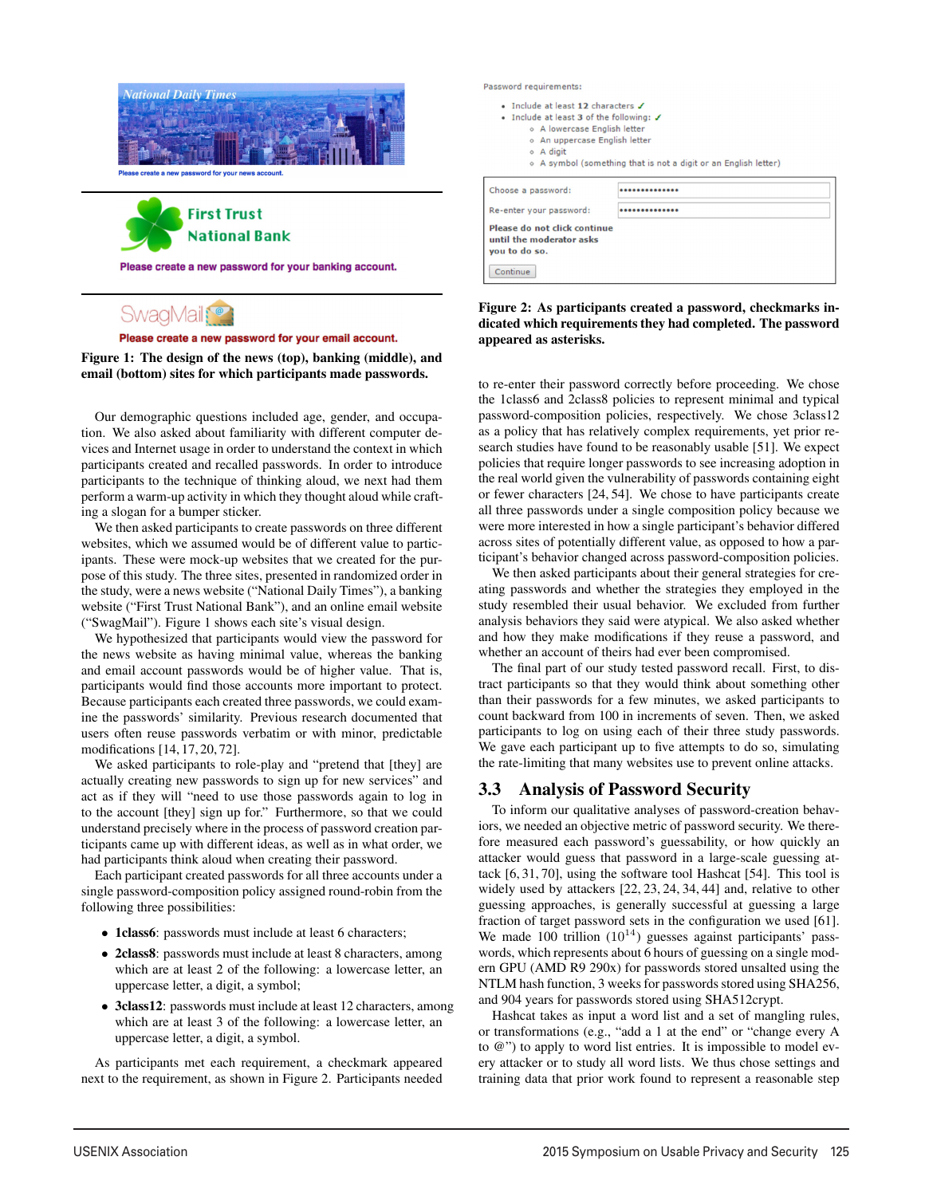

**First Trust National Bank** 

Please create a new password for your banking account.

# SwaqMail;<sup>®</sup>

Please create a new password for your email account.

### Figure 1: The design of the news (top), banking (middle), and email (bottom) sites for which participants made passwords.

Our demographic questions included age, gender, and occupation. We also asked about familiarity with different computer devices and Internet usage in order to understand the context in which participants created and recalled passwords. In order to introduce participants to the technique of thinking aloud, we next had them perform a warm-up activity in which they thought aloud while crafting a slogan for a bumper sticker.

We then asked participants to create passwords on three different websites, which we assumed would be of different value to participants. These were mock-up websites that we created for the purpose of this study. The three sites, presented in randomized order in the study, were a news website ("National Daily Times"), a banking website ("First Trust National Bank"), and an online email website ("SwagMail"). Figure 1 shows each site's visual design.

We hypothesized that participants would view the password for the news website as having minimal value, whereas the banking and email account passwords would be of higher value. That is, participants would find those accounts more important to protect. Because participants each created three passwords, we could examine the passwords' similarity. Previous research documented that users often reuse passwords verbatim or with minor, predictable modifications [14, 17, 20, 72].

We asked participants to role-play and "pretend that [they] are actually creating new passwords to sign up for new services" and act as if they will "need to use those passwords again to log in to the account [they] sign up for." Furthermore, so that we could understand precisely where in the process of password creation participants came up with different ideas, as well as in what order, we had participants think aloud when creating their password.

Each participant created passwords for all three accounts under a single password-composition policy assigned round-robin from the following three possibilities:

- 1class6: passwords must include at least 6 characters;
- 2class8: passwords must include at least 8 characters, among which are at least 2 of the following: a lowercase letter, an uppercase letter, a digit, a symbol;
- 3class12: passwords must include at least 12 characters, among which are at least 3 of the following: a lowercase letter, an uppercase letter, a digit, a symbol.

3

As participants met each requirement, a checkmark appeared next to the requirement, as shown in Figure 2. Participants needed Password requirements:

| • Include at least 12 characters $J$<br>• Include at least 3 of the following: J<br>o A lowercase English letter<br>o An uppercase English letter<br>o A digit<br>o A symbol (something that is not a digit or an English letter) |  |  |  |  |
|-----------------------------------------------------------------------------------------------------------------------------------------------------------------------------------------------------------------------------------|--|--|--|--|
| Choose a password:                                                                                                                                                                                                                |  |  |  |  |
| Re-enter your password:                                                                                                                                                                                                           |  |  |  |  |
| Please do not click continue<br>until the moderator asks<br>vou to do so.<br>Continue                                                                                                                                             |  |  |  |  |

### Figure 2: As participants created a password, checkmarks indicated which requirements they had completed. The password appeared as asterisks.

to re-enter their password correctly before proceeding. We chose the 1class6 and 2class8 policies to represent minimal and typical password-composition policies, respectively. We chose 3class12 as a policy that has relatively complex requirements, yet prior research studies have found to be reasonably usable [51]. We expect policies that require longer passwords to see increasing adoption in the real world given the vulnerability of passwords containing eight or fewer characters [24, 54]. We chose to have participants create all three passwords under a single composition policy because we were more interested in how a single participant's behavior differed across sites of potentially different value, as opposed to how a participant's behavior changed across password-composition policies.

We then asked participants about their general strategies for creating passwords and whether the strategies they employed in the study resembled their usual behavior. We excluded from further analysis behaviors they said were atypical. We also asked whether and how they make modifications if they reuse a password, and whether an account of theirs had ever been compromised.

The final part of our study tested password recall. First, to distract participants so that they would think about something other than their passwords for a few minutes, we asked participants to count backward from 100 in increments of seven. Then, we asked participants to log on using each of their three study passwords. We gave each participant up to five attempts to do so, simulating the rate-limiting that many websites use to prevent online attacks.

# 3.3 Analysis of Password Security

To inform our qualitative analyses of password-creation behaviors, we needed an objective metric of password security. We therefore measured each password's guessability, or how quickly an attacker would guess that password in a large-scale guessing attack [6, 31, 70], using the software tool Hashcat [54]. This tool is widely used by attackers [22, 23, 24, 34, 44] and, relative to other guessing approaches, is generally successful at guessing a large fraction of target password sets in the configuration we used [61]. We made 100 trillion  $(10^{14})$  guesses against participants' passwords, which represents about 6 hours of guessing on a single modern GPU (AMD R9 290x) for passwords stored unsalted using the NTLM hash function, 3 weeks for passwords stored using SHA256, and 904 years for passwords stored using SHA512crypt.

Hashcat takes as input a word list and a set of mangling rules, or transformations (e.g., "add a 1 at the end" or "change every A to @") to apply to word list entries. It is impossible to model every attacker or to study all word lists. We thus chose settings and training data that prior work found to represent a reasonable step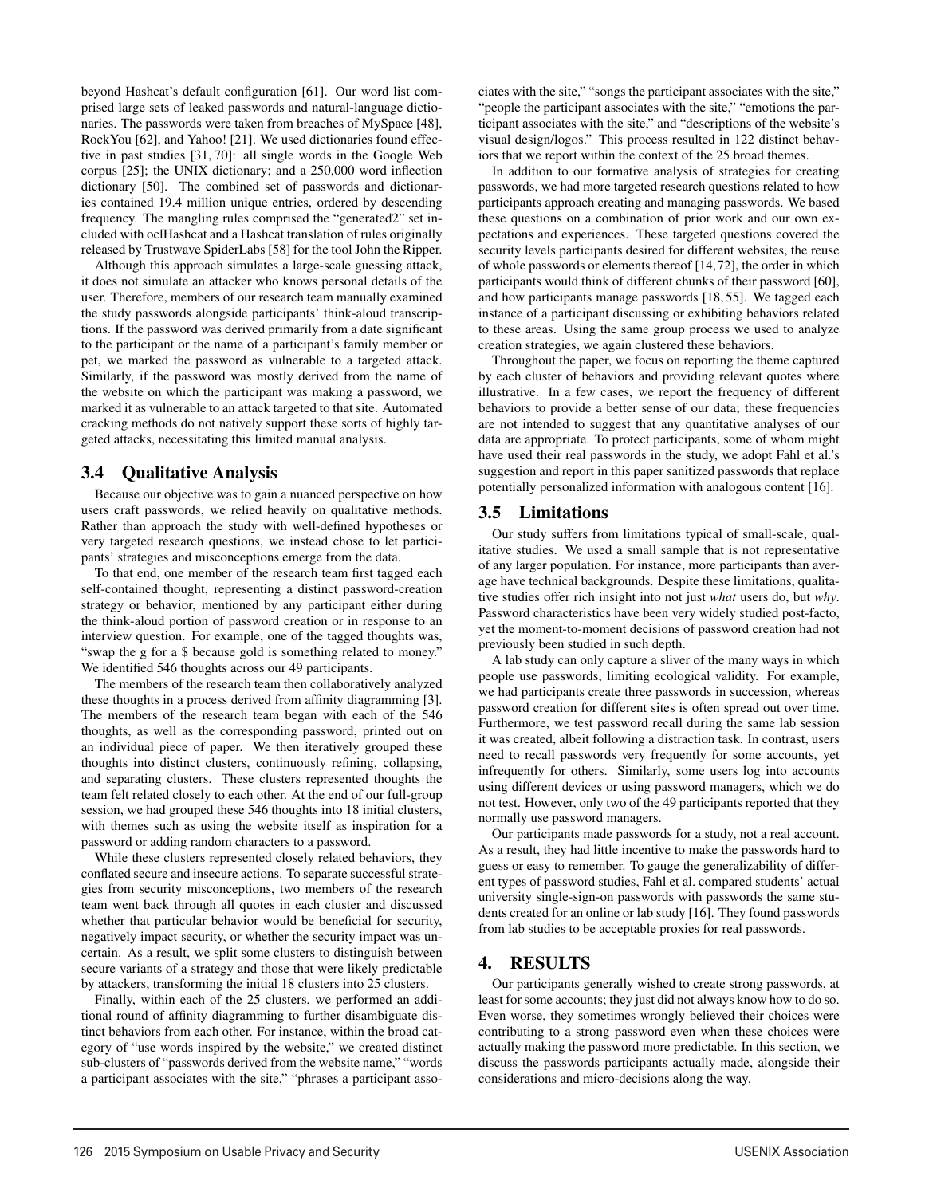beyond Hashcat's default configuration [61]. Our word list comprised large sets of leaked passwords and natural-language dictionaries. The passwords were taken from breaches of MySpace [48], RockYou [62], and Yahoo! [21]. We used dictionaries found effective in past studies [31, 70]: all single words in the Google Web corpus [25]; the UNIX dictionary; and a 250,000 word inflection dictionary [50]. The combined set of passwords and dictionaries contained 19.4 million unique entries, ordered by descending frequency. The mangling rules comprised the "generated2" set included with oclHashcat and a Hashcat translation of rules originally released by Trustwave SpiderLabs [58] for the tool John the Ripper.

Although this approach simulates a large-scale guessing attack, it does not simulate an attacker who knows personal details of the user. Therefore, members of our research team manually examined the study passwords alongside participants' think-aloud transcriptions. If the password was derived primarily from a date significant to the participant or the name of a participant's family member or pet, we marked the password as vulnerable to a targeted attack. Similarly, if the password was mostly derived from the name of the website on which the participant was making a password, we marked it as vulnerable to an attack targeted to that site. Automated cracking methods do not natively support these sorts of highly targeted attacks, necessitating this limited manual analysis.

### 3.4 Qualitative Analysis

Because our objective was to gain a nuanced perspective on how users craft passwords, we relied heavily on qualitative methods. Rather than approach the study with well-defined hypotheses or very targeted research questions, we instead chose to let participants' strategies and misconceptions emerge from the data.

To that end, one member of the research team first tagged each self-contained thought, representing a distinct password-creation strategy or behavior, mentioned by any participant either during the think-aloud portion of password creation or in response to an interview question. For example, one of the tagged thoughts was, "swap the g for a \$ because gold is something related to money." We identified 546 thoughts across our 49 participants.

The members of the research team then collaboratively analyzed these thoughts in a process derived from affinity diagramming [3]. The members of the research team began with each of the 546 thoughts, as well as the corresponding password, printed out on an individual piece of paper. We then iteratively grouped these thoughts into distinct clusters, continuously refining, collapsing, and separating clusters. These clusters represented thoughts the team felt related closely to each other. At the end of our full-group session, we had grouped these 546 thoughts into 18 initial clusters, with themes such as using the website itself as inspiration for a password or adding random characters to a password.

While these clusters represented closely related behaviors, they conflated secure and insecure actions. To separate successful strategies from security misconceptions, two members of the research team went back through all quotes in each cluster and discussed whether that particular behavior would be beneficial for security, negatively impact security, or whether the security impact was uncertain. As a result, we split some clusters to distinguish between secure variants of a strategy and those that were likely predictable by attackers, transforming the initial 18 clusters into 25 clusters.

Finally, within each of the 25 clusters, we performed an additional round of affinity diagramming to further disambiguate distinct behaviors from each other. For instance, within the broad category of "use words inspired by the website," we created distinct sub-clusters of "passwords derived from the website name," "words a participant associates with the site," "phrases a participant associates with the site," "songs the participant associates with the site," "people the participant associates with the site," "emotions the participant associates with the site," and "descriptions of the website's visual design/logos." This process resulted in 122 distinct behaviors that we report within the context of the 25 broad themes.

In addition to our formative analysis of strategies for creating passwords, we had more targeted research questions related to how participants approach creating and managing passwords. We based these questions on a combination of prior work and our own expectations and experiences. These targeted questions covered the security levels participants desired for different websites, the reuse of whole passwords or elements thereof [14,72], the order in which participants would think of different chunks of their password [60], and how participants manage passwords [18, 55]. We tagged each instance of a participant discussing or exhibiting behaviors related to these areas. Using the same group process we used to analyze creation strategies, we again clustered these behaviors.

Throughout the paper, we focus on reporting the theme captured by each cluster of behaviors and providing relevant quotes where illustrative. In a few cases, we report the frequency of different behaviors to provide a better sense of our data; these frequencies are not intended to suggest that any quantitative analyses of our data are appropriate. To protect participants, some of whom might have used their real passwords in the study, we adopt Fahl et al.'s suggestion and report in this paper sanitized passwords that replace potentially personalized information with analogous content [16].

### 3.5 Limitations

Our study suffers from limitations typical of small-scale, qualitative studies. We used a small sample that is not representative of any larger population. For instance, more participants than average have technical backgrounds. Despite these limitations, qualitative studies offer rich insight into not just *what* users do, but *why*. Password characteristics have been very widely studied post-facto, yet the moment-to-moment decisions of password creation had not previously been studied in such depth.

A lab study can only capture a sliver of the many ways in which people use passwords, limiting ecological validity. For example, we had participants create three passwords in succession, whereas password creation for different sites is often spread out over time. Furthermore, we test password recall during the same lab session it was created, albeit following a distraction task. In contrast, users need to recall passwords very frequently for some accounts, yet infrequently for others. Similarly, some users log into accounts using different devices or using password managers, which we do not test. However, only two of the 49 participants reported that they normally use password managers.

Our participants made passwords for a study, not a real account. As a result, they had little incentive to make the passwords hard to guess or easy to remember. To gauge the generalizability of different types of password studies, Fahl et al. compared students' actual university single-sign-on passwords with passwords the same students created for an online or lab study [16]. They found passwords from lab studies to be acceptable proxies for real passwords.

### 4. RESULTS

4

Our participants generally wished to create strong passwords, at least for some accounts; they just did not always know how to do so. Even worse, they sometimes wrongly believed their choices were contributing to a strong password even when these choices were actually making the password more predictable. In this section, we discuss the passwords participants actually made, alongside their considerations and micro-decisions along the way.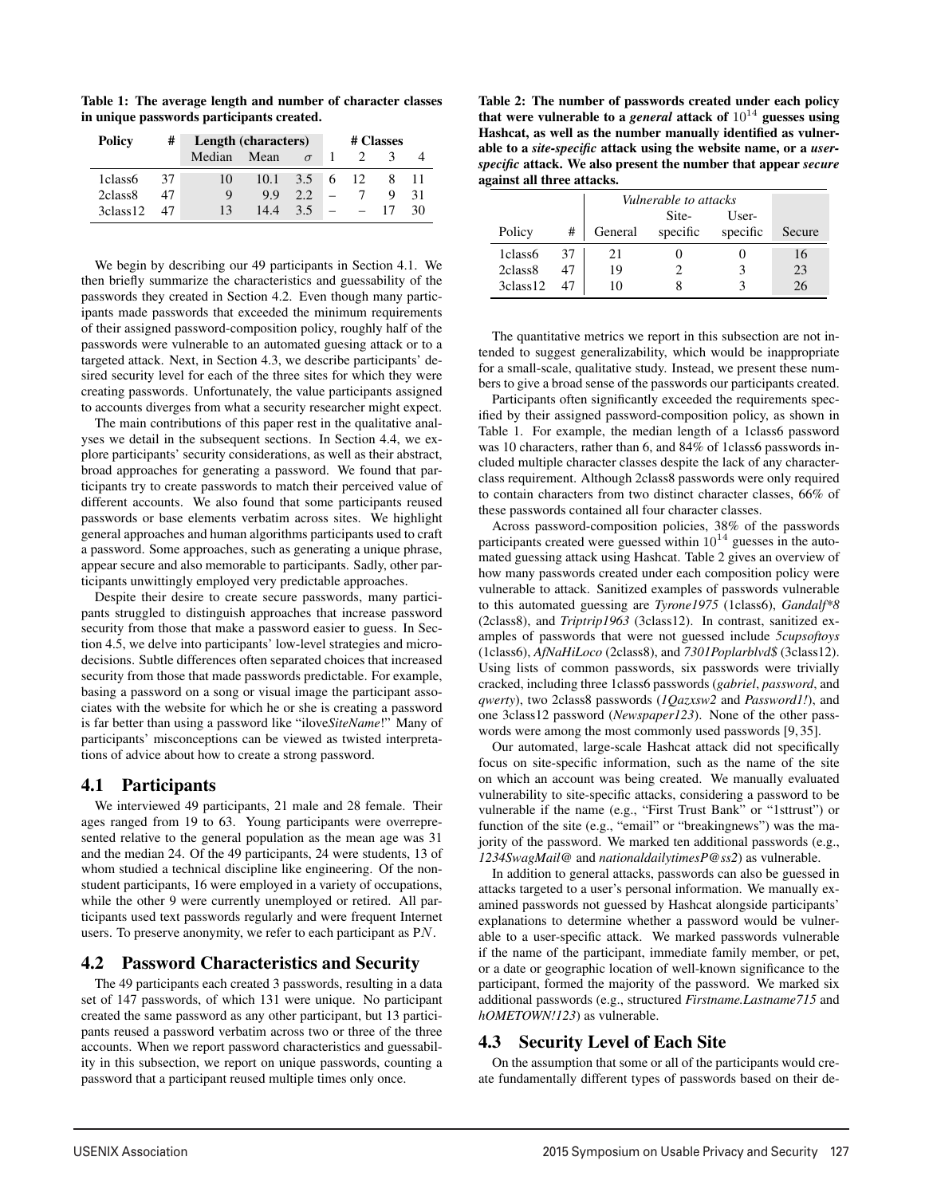Table 1: The average length and number of character classes in unique passwords participants created.

| <b>Policy</b>        | #  | Length (characters) |           |     |      | # Classes |    |
|----------------------|----|---------------------|-----------|-----|------|-----------|----|
|                      |    | Median              | Mean      |     |      |           |    |
| 1class6              | 37 | 10                  | 10.1      | 3.5 | 6 12 |           |    |
| 2class <sub>8</sub>  | 47 | Q                   | <b>99</b> | 2.2 |      |           | 31 |
| 3class <sub>12</sub> | 47 | 13                  | 14.4      | 3.5 |      |           | 30 |

We begin by describing our 49 participants in Section 4.1. We then briefly summarize the characteristics and guessability of the passwords they created in Section 4.2. Even though many participants made passwords that exceeded the minimum requirements of their assigned password-composition policy, roughly half of the passwords were vulnerable to an automated guesing attack or to a targeted attack. Next, in Section 4.3, we describe participants' desired security level for each of the three sites for which they were creating passwords. Unfortunately, the value participants assigned to accounts diverges from what a security researcher might expect.

The main contributions of this paper rest in the qualitative analyses we detail in the subsequent sections. In Section 4.4, we explore participants' security considerations, as well as their abstract, broad approaches for generating a password. We found that participants try to create passwords to match their perceived value of different accounts. We also found that some participants reused passwords or base elements verbatim across sites. We highlight general approaches and human algorithms participants used to craft a password. Some approaches, such as generating a unique phrase, appear secure and also memorable to participants. Sadly, other participants unwittingly employed very predictable approaches.

Despite their desire to create secure passwords, many participants struggled to distinguish approaches that increase password security from those that make a password easier to guess. In Section 4.5, we delve into participants' low-level strategies and microdecisions. Subtle differences often separated choices that increased security from those that made passwords predictable. For example, basing a password on a song or visual image the participant associates with the website for which he or she is creating a password is far better than using a password like "ilove*SiteName*!" Many of participants' misconceptions can be viewed as twisted interpretations of advice about how to create a strong password.

# 4.1 Participants

We interviewed 49 participants, 21 male and 28 female. Their ages ranged from 19 to 63. Young participants were overrepresented relative to the general population as the mean age was 31 and the median 24. Of the 49 participants, 24 were students, 13 of whom studied a technical discipline like engineering. Of the nonstudent participants, 16 were employed in a variety of occupations, while the other 9 were currently unemployed or retired. All participants used text passwords regularly and were frequent Internet users. To preserve anonymity, we refer to each participant as PN.

### 4.2 Password Characteristics and Security

The 49 participants each created 3 passwords, resulting in a data set of 147 passwords, of which 131 were unique. No participant created the same password as any other participant, but 13 participants reused a password verbatim across two or three of the three accounts. When we report password characteristics and guessability in this subsection, we report on unique passwords, counting a password that a participant reused multiple times only once.

Table 2: The number of passwords created under each policy that were vulnerable to a *general* attack of  $10^{14}$  guesses using Hashcat, as well as the number manually identified as vulnerable to a *site-specific* attack using the website name, or a *userspecific* attack. We also present the number that appear *secure* against all three attacks.

|                     |    | Vulnerable to attacks |                   |                   |        |
|---------------------|----|-----------------------|-------------------|-------------------|--------|
| Policy              | #  | General               | Site-<br>specific | User-<br>specific | Secure |
| 1class6             | 37 | 21                    |                   |                   | 16     |
| 2class <sub>8</sub> | 47 | 19                    |                   |                   | 23     |
| 3class12            |    | 10                    |                   |                   | 26     |

The quantitative metrics we report in this subsection are not intended to suggest generalizability, which would be inappropriate for a small-scale, qualitative study. Instead, we present these numbers to give a broad sense of the passwords our participants created.

Participants often significantly exceeded the requirements specified by their assigned password-composition policy, as shown in Table 1. For example, the median length of a 1class6 password was 10 characters, rather than 6, and 84% of 1class6 passwords included multiple character classes despite the lack of any characterclass requirement. Although 2class8 passwords were only required to contain characters from two distinct character classes, 66% of these passwords contained all four character classes.

Across password-composition policies, 38% of the passwords participants created were guessed within  $10^{14}$  guesses in the automated guessing attack using Hashcat. Table 2 gives an overview of how many passwords created under each composition policy were vulnerable to attack. Sanitized examples of passwords vulnerable to this automated guessing are *Tyrone1975* (1class6), *Gandalf\*8* (2class8), and *Triptrip1963* (3class12). In contrast, sanitized examples of passwords that were not guessed include *5cupsoftoys* (1class6), *AfNaHiLoco* (2class8), and *7301Poplarblvd\$* (3class12). Using lists of common passwords, six passwords were trivially cracked, including three 1class6 passwords (*gabriel*, *password*, and *qwerty*), two 2class8 passwords (*1Qazxsw2* and *Password1!*), and one 3class12 password (*Newspaper123*). None of the other passwords were among the most commonly used passwords [9, 35].

Our automated, large-scale Hashcat attack did not specifically focus on site-specific information, such as the name of the site on which an account was being created. We manually evaluated vulnerability to site-specific attacks, considering a password to be vulnerable if the name (e.g., "First Trust Bank" or "1sttrust") or function of the site (e.g., "email" or "breakingnews") was the majority of the password. We marked ten additional passwords (e.g., *1234SwagMail@* and *nationaldailytimesP@ss2*) as vulnerable.

In addition to general attacks, passwords can also be guessed in attacks targeted to a user's personal information. We manually examined passwords not guessed by Hashcat alongside participants' explanations to determine whether a password would be vulnerable to a user-specific attack. We marked passwords vulnerable if the name of the participant, immediate family member, or pet, or a date or geographic location of well-known significance to the participant, formed the majority of the password. We marked six additional passwords (e.g., structured *Firstname.Lastname715* and *hOMETOWN!123*) as vulnerable.

# 4.3 Security Level of Each Site

5

On the assumption that some or all of the participants would create fundamentally different types of passwords based on their de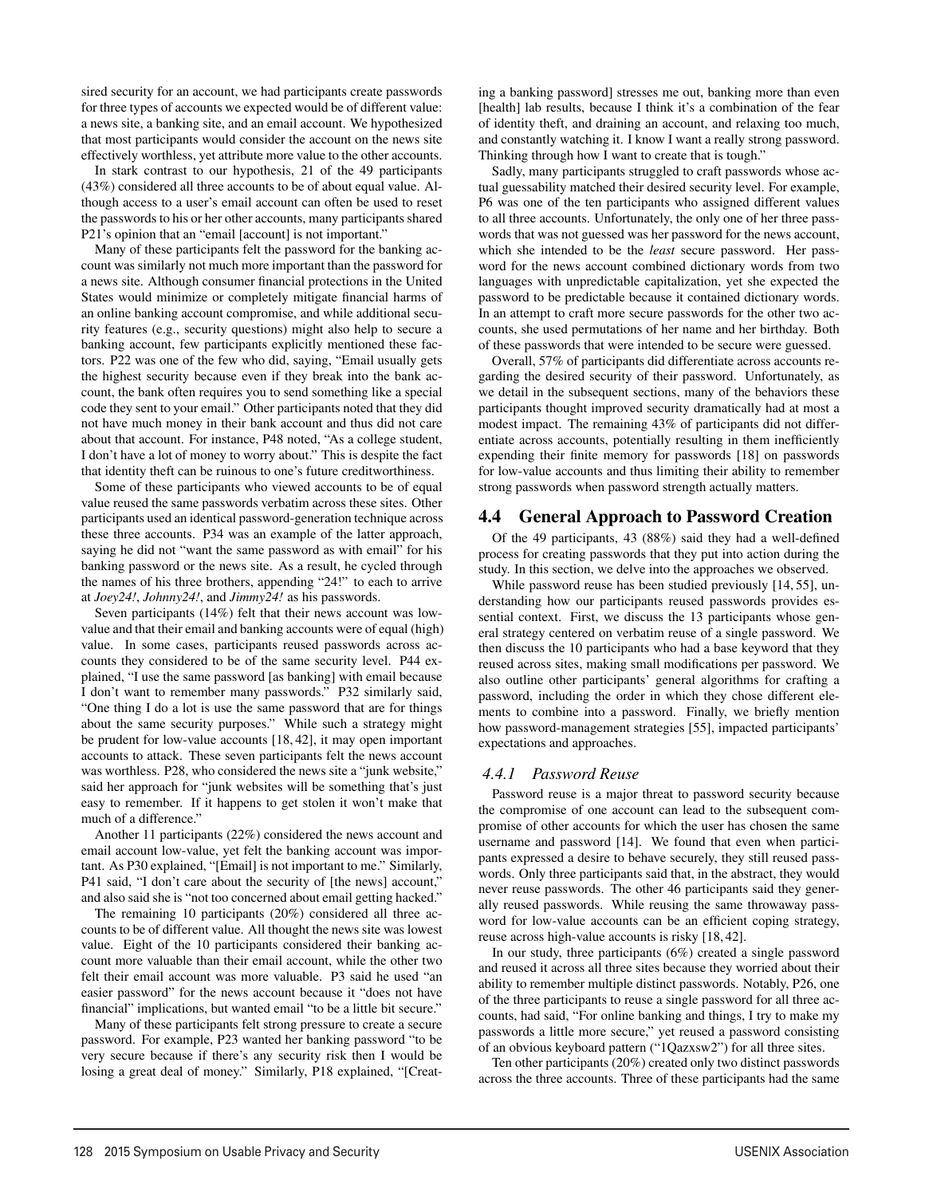sired security for an account, we had participants create passwords for three types of accounts we expected would be of different value: a news site, a banking site, and an email account. We hypothesized that most participants would consider the account on the news site effectively worthless, yet attribute more value to the other accounts.

In stark contrast to our hypothesis, 21 of the 49 participants (43%) considered all three accounts to be of about equal value. Although access to a user's email account can often be used to reset the passwords to his or her other accounts, many participants shared P21's opinion that an "email [account] is not important."

Many of these participants felt the password for the banking account was similarly not much more important than the password for a news site. Although consumer financial protections in the United States would minimize or completely mitigate financial harms of an online banking account compromise, and while additional security features (e.g., security questions) might also help to secure a banking account, few participants explicitly mentioned these factors. P22 was one of the few who did, saying, "Email usually gets the highest security because even if they break into the bank account, the bank often requires you to send something like a special code they sent to your email." Other participants noted that they did not have much money in their bank account and thus did not care about that account. For instance, P48 noted, "As a college student, I don't have a lot of money to worry about." This is despite the fact that identity theft can be ruinous to one's future creditworthiness.

Some of these participants who viewed accounts to be of equal value reused the same passwords verbatim across these sites. Other participants used an identical password-generation technique across these three accounts. P34 was an example of the latter approach, saying he did not "want the same password as with email" for his banking password or the news site. As a result, he cycled through the names of his three brothers, appending "24!" to each to arrive at *Joey24!*, *Johnny24!*, and *Jimmy24!* as his passwords.

Seven participants (14%) felt that their news account was lowvalue and that their email and banking accounts were of equal (high) value. In some cases, participants reused passwords across accounts they considered to be of the same security level. P44 explained, "I use the same password [as banking] with email because I don't want to remember many passwords." P32 similarly said, "One thing I do a lot is use the same password that are for things about the same security purposes." While such a strategy might be prudent for low-value accounts [18, 42], it may open important accounts to attack. These seven participants felt the news account was worthless. P28, who considered the news site a "junk website," said her approach for "junk websites will be something that's just easy to remember. If it happens to get stolen it won't make that much of a difference."

Another 11 participants (22%) considered the news account and email account low-value, yet felt the banking account was important. As P30 explained, "[Email] is not important to me." Similarly, P41 said, "I don't care about the security of [the news] account," and also said she is "not too concerned about email getting hacked."

The remaining 10 participants (20%) considered all three accounts to be of different value. All thought the news site was lowest value. Eight of the 10 participants considered their banking account more valuable than their email account, while the other two felt their email account was more valuable. P3 said he used "an easier password" for the news account because it "does not have financial" implications, but wanted email "to be a little bit secure."

Many of these participants felt strong pressure to create a secure password. For example, P23 wanted her banking password "to be very secure because if there's any security risk then I would be losing a great deal of money." Similarly, P18 explained, "[Creating a banking password] stresses me out, banking more than even [health] lab results, because I think it's a combination of the fear of identity theft, and draining an account, and relaxing too much, and constantly watching it. I know I want a really strong password. Thinking through how I want to create that is tough."

Sadly, many participants struggled to craft passwords whose actual guessability matched their desired security level. For example, P6 was one of the ten participants who assigned different values to all three accounts. Unfortunately, the only one of her three passwords that was not guessed was her password for the news account, which she intended to be the *least* secure password. Her password for the news account combined dictionary words from two languages with unpredictable capitalization, yet she expected the password to be predictable because it contained dictionary words. In an attempt to craft more secure passwords for the other two accounts, she used permutations of her name and her birthday. Both of these passwords that were intended to be secure were guessed.

Overall, 57% of participants did differentiate across accounts regarding the desired security of their password. Unfortunately, as we detail in the subsequent sections, many of the behaviors these participants thought improved security dramatically had at most a modest impact. The remaining 43% of participants did not differentiate across accounts, potentially resulting in them inefficiently expending their finite memory for passwords [18] on passwords for low-value accounts and thus limiting their ability to remember strong passwords when password strength actually matters.

### 4.4 General Approach to Password Creation

Of the 49 participants, 43 (88%) said they had a well-defined process for creating passwords that they put into action during the study. In this section, we delve into the approaches we observed.

While password reuse has been studied previously [14, 55], understanding how our participants reused passwords provides essential context. First, we discuss the 13 participants whose general strategy centered on verbatim reuse of a single password. We then discuss the 10 participants who had a base keyword that they reused across sites, making small modifications per password. We also outline other participants' general algorithms for crafting a password, including the order in which they chose different elements to combine into a password. Finally, we briefly mention how password-management strategies [55], impacted participants' expectations and approaches.

### *4.4.1 Password Reuse*

6

Password reuse is a major threat to password security because the compromise of one account can lead to the subsequent compromise of other accounts for which the user has chosen the same username and password [14]. We found that even when participants expressed a desire to behave securely, they still reused passwords. Only three participants said that, in the abstract, they would never reuse passwords. The other 46 participants said they generally reused passwords. While reusing the same throwaway password for low-value accounts can be an efficient coping strategy, reuse across high-value accounts is risky [18, 42].

In our study, three participants (6%) created a single password and reused it across all three sites because they worried about their ability to remember multiple distinct passwords. Notably, P26, one of the three participants to reuse a single password for all three accounts, had said, "For online banking and things, I try to make my passwords a little more secure," yet reused a password consisting of an obvious keyboard pattern ("1Qazxsw2") for all three sites.

Ten other participants (20%) created only two distinct passwords across the three accounts. Three of these participants had the same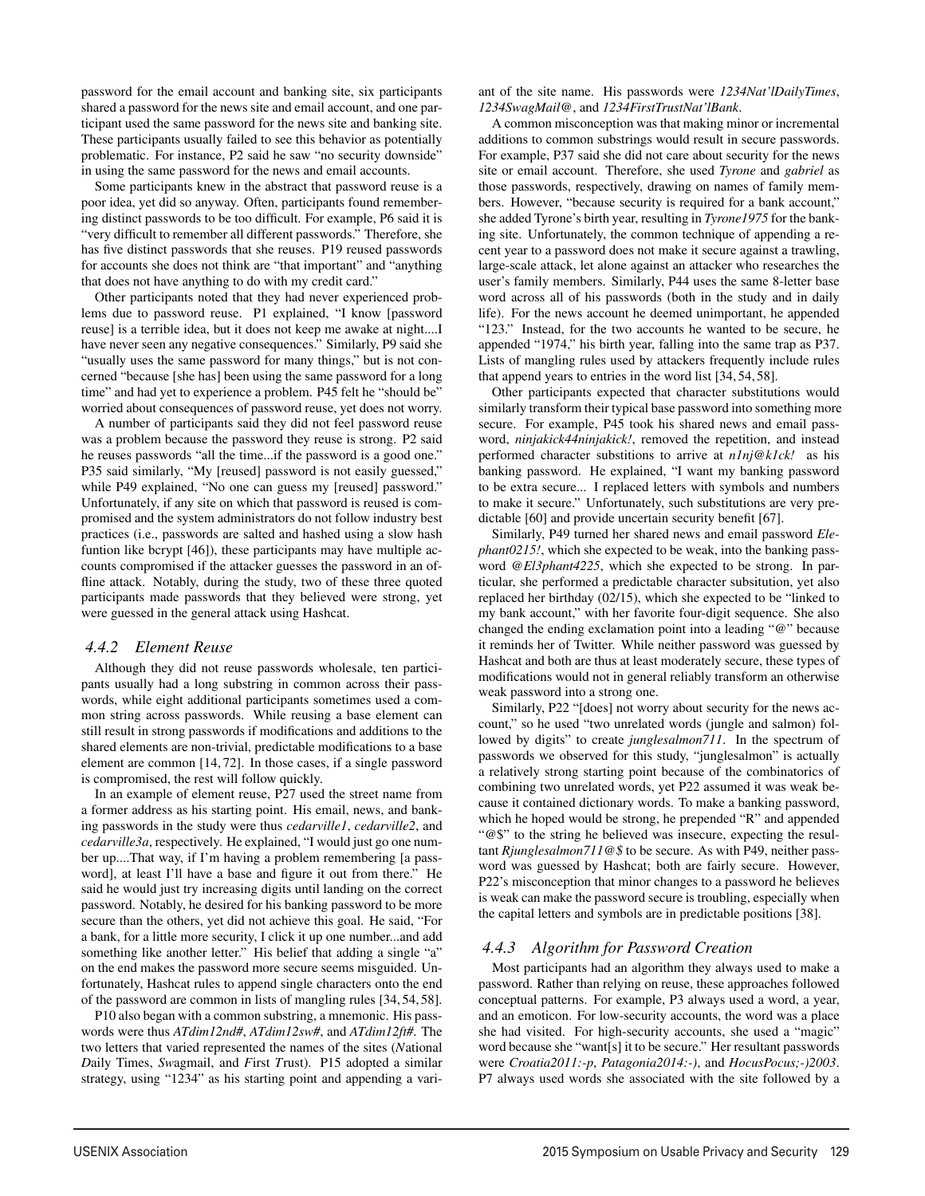password for the email account and banking site, six participants shared a password for the news site and email account, and one participant used the same password for the news site and banking site. These participants usually failed to see this behavior as potentially problematic. For instance, P2 said he saw "no security downside" in using the same password for the news and email accounts.

Some participants knew in the abstract that password reuse is a poor idea, yet did so anyway. Often, participants found remembering distinct passwords to be too difficult. For example, P6 said it is "very difficult to remember all different passwords." Therefore, she has five distinct passwords that she reuses. P19 reused passwords for accounts she does not think are "that important" and "anything that does not have anything to do with my credit card."

Other participants noted that they had never experienced problems due to password reuse. P1 explained, "I know [password reuse] is a terrible idea, but it does not keep me awake at night....I have never seen any negative consequences." Similarly, P9 said she "usually uses the same password for many things," but is not concerned "because [she has] been using the same password for a long time" and had yet to experience a problem. P45 felt he "should be" worried about consequences of password reuse, yet does not worry.

A number of participants said they did not feel password reuse was a problem because the password they reuse is strong. P2 said he reuses passwords "all the time...if the password is a good one." P35 said similarly, "My [reused] password is not easily guessed," while P49 explained, "No one can guess my [reused] password." Unfortunately, if any site on which that password is reused is compromised and the system administrators do not follow industry best practices (i.e., passwords are salted and hashed using a slow hash funtion like bcrypt [46]), these participants may have multiple accounts compromised if the attacker guesses the password in an offline attack. Notably, during the study, two of these three quoted participants made passwords that they believed were strong, yet were guessed in the general attack using Hashcat.

### *4.4.2 Element Reuse*

Although they did not reuse passwords wholesale, ten participants usually had a long substring in common across their passwords, while eight additional participants sometimes used a common string across passwords. While reusing a base element can still result in strong passwords if modifications and additions to the shared elements are non-trivial, predictable modifications to a base element are common [14, 72]. In those cases, if a single password is compromised, the rest will follow quickly.

In an example of element reuse, P27 used the street name from a former address as his starting point. His email, news, and banking passwords in the study were thus *cedarville1*, *cedarville2*, and *cedarville3a*, respectively. He explained, "I would just go one number up....That way, if I'm having a problem remembering [a password], at least I'll have a base and figure it out from there." He said he would just try increasing digits until landing on the correct password. Notably, he desired for his banking password to be more secure than the others, yet did not achieve this goal. He said, "For a bank, for a little more security, I click it up one number...and add something like another letter." His belief that adding a single "a" on the end makes the password more secure seems misguided. Unfortunately, Hashcat rules to append single characters onto the end of the password are common in lists of mangling rules [34, 54, 58].

P10 also began with a common substring, a mnemonic. His passwords were thus *ATdim12nd#*, *ATdim12sw#*, and *ATdim12ft#*. The two letters that varied represented the names of the sites (*N*ational *D*aily Times, *Sw*agmail, and *F*irst *T*rust). P15 adopted a similar strategy, using "1234" as his starting point and appending a variant of the site name. His passwords were *1234Nat'lDailyTimes*, *1234SwagMail@*, and *1234FirstTrustNat'lBank*.

A common misconception was that making minor or incremental additions to common substrings would result in secure passwords. For example, P37 said she did not care about security for the news site or email account. Therefore, she used *Tyrone* and *gabriel* as those passwords, respectively, drawing on names of family members. However, "because security is required for a bank account," she added Tyrone's birth year, resulting in *Tyrone1975* for the banking site. Unfortunately, the common technique of appending a recent year to a password does not make it secure against a trawling, large-scale attack, let alone against an attacker who researches the user's family members. Similarly, P44 uses the same 8-letter base word across all of his passwords (both in the study and in daily life). For the news account he deemed unimportant, he appended "123." Instead, for the two accounts he wanted to be secure, he appended "1974," his birth year, falling into the same trap as P37. Lists of mangling rules used by attackers frequently include rules that append years to entries in the word list [34, 54, 58].

Other participants expected that character substitutions would similarly transform their typical base password into something more secure. For example, P45 took his shared news and email password, *ninjakick44ninjakick!*, removed the repetition, and instead performed character substitions to arrive at *n1nj@k1ck!* as his banking password. He explained, "I want my banking password to be extra secure... I replaced letters with symbols and numbers to make it secure." Unfortunately, such substitutions are very predictable [60] and provide uncertain security benefit [67].

Similarly, P49 turned her shared news and email password *Elephant0215!*, which she expected to be weak, into the banking password *@El3phant4225*, which she expected to be strong. In particular, she performed a predictable character subsitution, yet also replaced her birthday (02/15), which she expected to be "linked to my bank account," with her favorite four-digit sequence. She also changed the ending exclamation point into a leading "@" because it reminds her of Twitter. While neither password was guessed by Hashcat and both are thus at least moderately secure, these types of modifications would not in general reliably transform an otherwise weak password into a strong one.

Similarly, P22 "[does] not worry about security for the news account," so he used "two unrelated words (jungle and salmon) followed by digits" to create *junglesalmon711*. In the spectrum of passwords we observed for this study, "junglesalmon" is actually a relatively strong starting point because of the combinatorics of combining two unrelated words, yet P22 assumed it was weak because it contained dictionary words. To make a banking password, which he hoped would be strong, he prepended "R" and appended "@\$" to the string he believed was insecure, expecting the resultant *Rjunglesalmon711@\$* to be secure. As with P49, neither password was guessed by Hashcat; both are fairly secure. However, P22's misconception that minor changes to a password he believes is weak can make the password secure is troubling, especially when the capital letters and symbols are in predictable positions [38].

### *4.4.3 Algorithm for Password Creation*

7

Most participants had an algorithm they always used to make a password. Rather than relying on reuse, these approaches followed conceptual patterns. For example, P3 always used a word, a year, and an emoticon. For low-security accounts, the word was a place she had visited. For high-security accounts, she used a "magic" word because she "want[s] it to be secure." Her resultant passwords were *Croatia2011:-p*, *Patagonia2014:-)*, and *HocusPocus;-)2003*. P7 always used words she associated with the site followed by a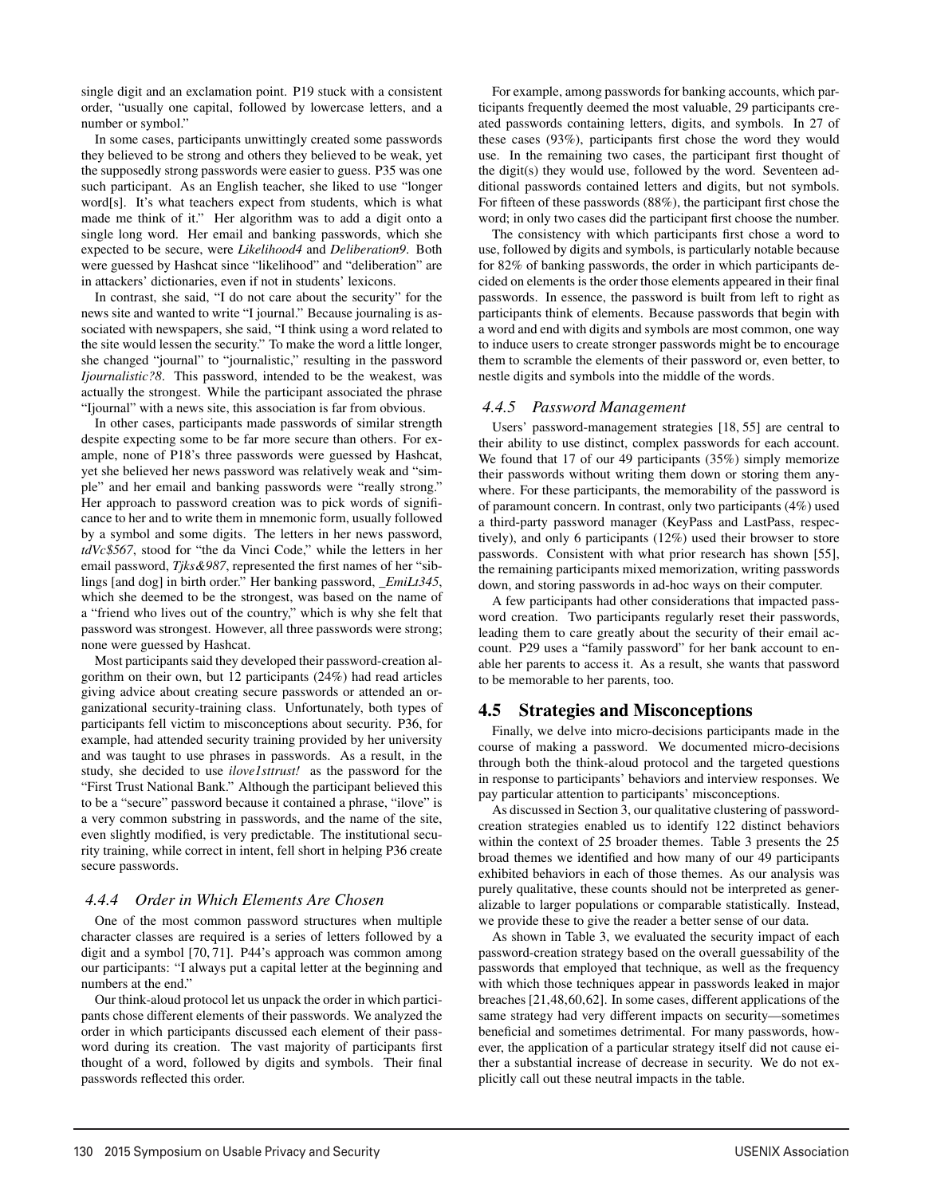single digit and an exclamation point. P19 stuck with a consistent order, "usually one capital, followed by lowercase letters, and a number or symbol."

In some cases, participants unwittingly created some passwords they believed to be strong and others they believed to be weak, yet the supposedly strong passwords were easier to guess. P35 was one such participant. As an English teacher, she liked to use "longer word[s]. It's what teachers expect from students, which is what made me think of it." Her algorithm was to add a digit onto a single long word. Her email and banking passwords, which she expected to be secure, were *Likelihood4* and *Deliberation9*. Both were guessed by Hashcat since "likelihood" and "deliberation" are in attackers' dictionaries, even if not in students' lexicons.

In contrast, she said, "I do not care about the security" for the news site and wanted to write "I journal." Because journaling is associated with newspapers, she said, "I think using a word related to the site would lessen the security." To make the word a little longer, she changed "journal" to "journalistic," resulting in the password *Ijournalistic?8*. This password, intended to be the weakest, was actually the strongest. While the participant associated the phrase "Ijournal" with a news site, this association is far from obvious.

In other cases, participants made passwords of similar strength despite expecting some to be far more secure than others. For example, none of P18's three passwords were guessed by Hashcat, yet she believed her news password was relatively weak and "simple" and her email and banking passwords were "really strong." Her approach to password creation was to pick words of significance to her and to write them in mnemonic form, usually followed by a symbol and some digits. The letters in her news password, *tdVc\$567*, stood for "the da Vinci Code," while the letters in her email password, *Tjks&987*, represented the first names of her "siblings [and dog] in birth order." Her banking password, *\_EmiLt345*, which she deemed to be the strongest, was based on the name of a "friend who lives out of the country," which is why she felt that password was strongest. However, all three passwords were strong; none were guessed by Hashcat.

Most participants said they developed their password-creation algorithm on their own, but 12 participants (24%) had read articles giving advice about creating secure passwords or attended an organizational security-training class. Unfortunately, both types of participants fell victim to misconceptions about security. P36, for example, had attended security training provided by her university and was taught to use phrases in passwords. As a result, in the study, she decided to use *ilove1sttrust!* as the password for the "First Trust National Bank." Although the participant believed this to be a "secure" password because it contained a phrase, "ilove" is a very common substring in passwords, and the name of the site, even slightly modified, is very predictable. The institutional security training, while correct in intent, fell short in helping P36 create secure passwords.

### *4.4.4 Order in Which Elements Are Chosen*

One of the most common password structures when multiple character classes are required is a series of letters followed by a digit and a symbol [70, 71]. P44's approach was common among our participants: "I always put a capital letter at the beginning and numbers at the end."

Our think-aloud protocol let us unpack the order in which participants chose different elements of their passwords. We analyzed the order in which participants discussed each element of their password during its creation. The vast majority of participants first thought of a word, followed by digits and symbols. Their final passwords reflected this order.

8

For example, among passwords for banking accounts, which participants frequently deemed the most valuable, 29 participants created passwords containing letters, digits, and symbols. In 27 of these cases (93%), participants first chose the word they would use. In the remaining two cases, the participant first thought of the digit(s) they would use, followed by the word. Seventeen additional passwords contained letters and digits, but not symbols. For fifteen of these passwords (88%), the participant first chose the word; in only two cases did the participant first choose the number.

The consistency with which participants first chose a word to use, followed by digits and symbols, is particularly notable because for 82% of banking passwords, the order in which participants decided on elements is the order those elements appeared in their final passwords. In essence, the password is built from left to right as participants think of elements. Because passwords that begin with a word and end with digits and symbols are most common, one way to induce users to create stronger passwords might be to encourage them to scramble the elements of their password or, even better, to nestle digits and symbols into the middle of the words.

### *4.4.5 Password Management*

Users' password-management strategies [18, 55] are central to their ability to use distinct, complex passwords for each account. We found that 17 of our 49 participants (35%) simply memorize their passwords without writing them down or storing them anywhere. For these participants, the memorability of the password is of paramount concern. In contrast, only two participants (4%) used a third-party password manager (KeyPass and LastPass, respectively), and only 6 participants (12%) used their browser to store passwords. Consistent with what prior research has shown [55], the remaining participants mixed memorization, writing passwords down, and storing passwords in ad-hoc ways on their computer.

A few participants had other considerations that impacted password creation. Two participants regularly reset their passwords, leading them to care greatly about the security of their email account. P29 uses a "family password" for her bank account to enable her parents to access it. As a result, she wants that password to be memorable to her parents, too.

# 4.5 Strategies and Misconceptions

Finally, we delve into micro-decisions participants made in the course of making a password. We documented micro-decisions through both the think-aloud protocol and the targeted questions in response to participants' behaviors and interview responses. We pay particular attention to participants' misconceptions.

As discussed in Section 3, our qualitative clustering of passwordcreation strategies enabled us to identify 122 distinct behaviors within the context of 25 broader themes. Table 3 presents the 25 broad themes we identified and how many of our 49 participants exhibited behaviors in each of those themes. As our analysis was purely qualitative, these counts should not be interpreted as generalizable to larger populations or comparable statistically. Instead, we provide these to give the reader a better sense of our data.

As shown in Table 3, we evaluated the security impact of each password-creation strategy based on the overall guessability of the passwords that employed that technique, as well as the frequency with which those techniques appear in passwords leaked in major breaches [21,48,60,62]. In some cases, different applications of the same strategy had very different impacts on security—sometimes beneficial and sometimes detrimental. For many passwords, however, the application of a particular strategy itself did not cause either a substantial increase of decrease in security. We do not explicitly call out these neutral impacts in the table.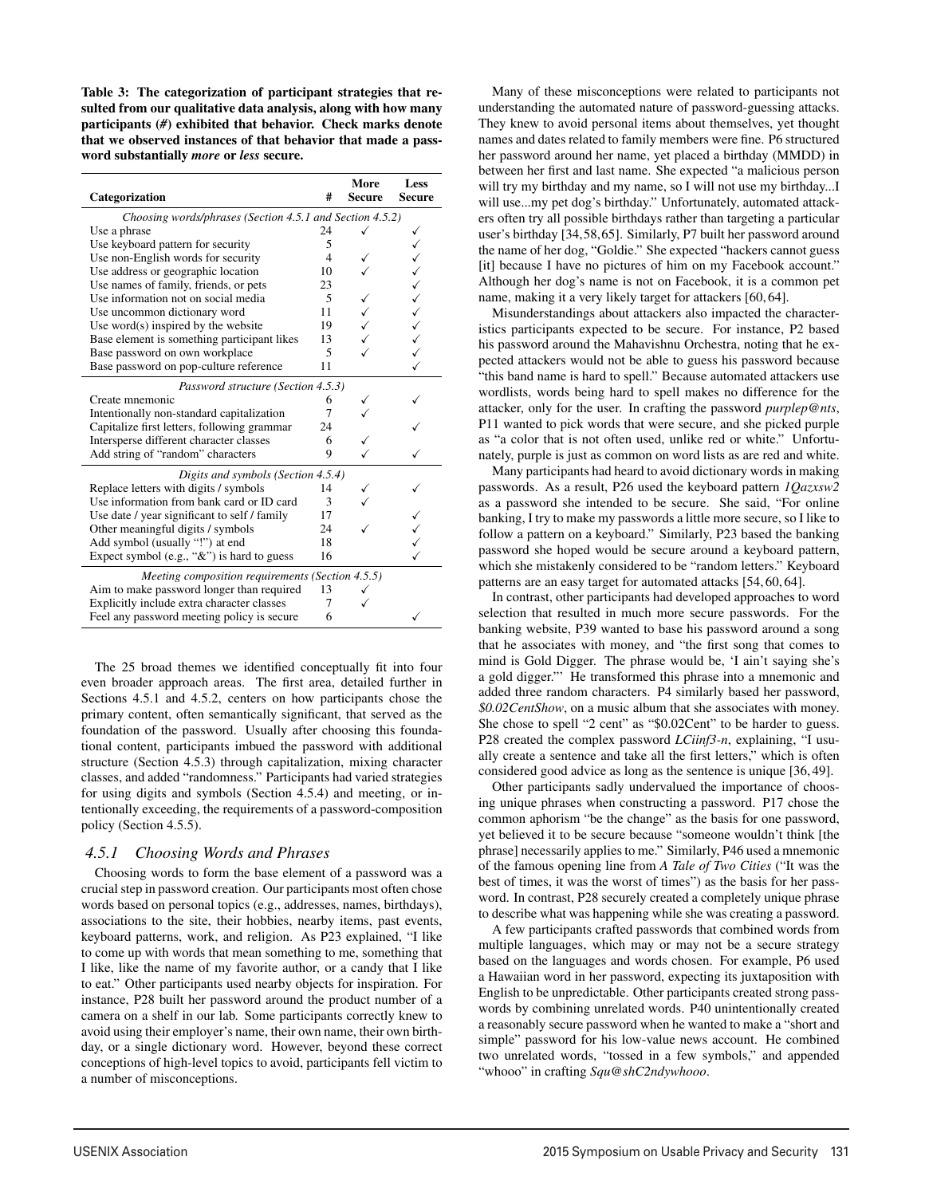Table 3: The categorization of participant strategies that resulted from our qualitative data analysis, along with how many participants (*#*) exhibited that behavior. Check marks denote that we observed instances of that behavior that made a password substantially *more* or *less* secure.

| Categorization                                           | #              | More<br><b>Secure</b> | Less<br><b>Secure</b> |  |  |  |
|----------------------------------------------------------|----------------|-----------------------|-----------------------|--|--|--|
| Choosing words/phrases (Section 4.5.1 and Section 4.5.2) |                |                       |                       |  |  |  |
| Use a phrase                                             | 24             |                       | ✓                     |  |  |  |
| Use keyboard pattern for security                        | 5              |                       | ✓                     |  |  |  |
| Use non-English words for security                       | $\overline{4}$ |                       |                       |  |  |  |
| Use address or geographic location                       | 10             |                       |                       |  |  |  |
| Use names of family, friends, or pets                    | 23             |                       |                       |  |  |  |
| Use information not on social media                      | 5              |                       |                       |  |  |  |
| Use uncommon dictionary word                             | 11             |                       |                       |  |  |  |
| Use word $(s)$ inspired by the website                   | 19             |                       |                       |  |  |  |
| Base element is something participant likes              | 13             |                       |                       |  |  |  |
| Base password on own workplace                           | 5              |                       |                       |  |  |  |
| Base password on pop-culture reference                   | 11             |                       |                       |  |  |  |
| Password structure (Section 4.5.3)                       |                |                       |                       |  |  |  |
| Create mnemonic                                          | 6              |                       |                       |  |  |  |
| Intentionally non-standard capitalization                | 7              |                       |                       |  |  |  |
| Capitalize first letters, following grammar              | 24             |                       |                       |  |  |  |
| Intersperse different character classes                  | 6              |                       |                       |  |  |  |
| Add string of "random" characters                        | 9              |                       |                       |  |  |  |
| Digits and symbols (Section 4.5.4)                       |                |                       |                       |  |  |  |
| Replace letters with digits / symbols                    | 14             |                       |                       |  |  |  |
| Use information from bank card or ID card                | 3              |                       |                       |  |  |  |
| Use date / year significant to self / family             | 17             |                       |                       |  |  |  |
| Other meaningful digits / symbols                        | 24             |                       |                       |  |  |  |
| Add symbol (usually "!") at end                          | 18             |                       |                       |  |  |  |
| Expect symbol (e.g., "&") is hard to guess               | 16             |                       |                       |  |  |  |
| Meeting composition requirements (Section 4.5.5)         |                |                       |                       |  |  |  |
| Aim to make password longer than required                | 13             |                       |                       |  |  |  |
| Explicitly include extra character classes               | 7              |                       |                       |  |  |  |
| Feel any password meeting policy is secure               | 6              |                       |                       |  |  |  |

The 25 broad themes we identified conceptually fit into four even broader approach areas. The first area, detailed further in Sections 4.5.1 and 4.5.2, centers on how participants chose the primary content, often semantically significant, that served as the foundation of the password. Usually after choosing this foundational content, participants imbued the password with additional structure (Section 4.5.3) through capitalization, mixing character classes, and added "randomness." Participants had varied strategies for using digits and symbols (Section 4.5.4) and meeting, or intentionally exceeding, the requirements of a password-composition policy (Section 4.5.5).

### *4.5.1 Choosing Words and Phrases*

Choosing words to form the base element of a password was a crucial step in password creation. Our participants most often chose words based on personal topics (e.g., addresses, names, birthdays), associations to the site, their hobbies, nearby items, past events, keyboard patterns, work, and religion. As P23 explained, "I like to come up with words that mean something to me, something that I like, like the name of my favorite author, or a candy that I like to eat." Other participants used nearby objects for inspiration. For instance, P28 built her password around the product number of a camera on a shelf in our lab. Some participants correctly knew to avoid using their employer's name, their own name, their own birthday, or a single dictionary word. However, beyond these correct conceptions of high-level topics to avoid, participants fell victim to a number of misconceptions.

Many of these misconceptions were related to participants not understanding the automated nature of password-guessing attacks. They knew to avoid personal items about themselves, yet thought names and dates related to family members were fine. P6 structured her password around her name, yet placed a birthday (MMDD) in between her first and last name. She expected "a malicious person will try my birthday and my name, so I will not use my birthday...I will use...my pet dog's birthday." Unfortunately, automated attackers often try all possible birthdays rather than targeting a particular user's birthday [34,58,65]. Similarly, P7 built her password around the name of her dog, "Goldie." She expected "hackers cannot guess [it] because I have no pictures of him on my Facebook account." Although her dog's name is not on Facebook, it is a common pet name, making it a very likely target for attackers [60, 64].

Misunderstandings about attackers also impacted the characteristics participants expected to be secure. For instance, P2 based his password around the Mahavishnu Orchestra, noting that he expected attackers would not be able to guess his password because "this band name is hard to spell." Because automated attackers use wordlists, words being hard to spell makes no difference for the attacker, only for the user. In crafting the password *purplep@nts*, P11 wanted to pick words that were secure, and she picked purple as "a color that is not often used, unlike red or white." Unfortunately, purple is just as common on word lists as are red and white.

Many participants had heard to avoid dictionary words in making passwords. As a result, P26 used the keyboard pattern *1Qazxsw2* as a password she intended to be secure. She said, "For online banking, I try to make my passwords a little more secure, so I like to follow a pattern on a keyboard." Similarly, P23 based the banking password she hoped would be secure around a keyboard pattern, which she mistakenly considered to be "random letters." Keyboard patterns are an easy target for automated attacks [54, 60, 64].

In contrast, other participants had developed approaches to word selection that resulted in much more secure passwords. For the banking website, P39 wanted to base his password around a song that he associates with money, and "the first song that comes to mind is Gold Digger. The phrase would be, 'I ain't saying she's a gold digger."' He transformed this phrase into a mnemonic and added three random characters. P4 similarly based her password, *\$0.02CentShow*, on a music album that she associates with money. She chose to spell "2 cent" as "\$0.02Cent" to be harder to guess. P28 created the complex password *LCiinf3-n*, explaining, "I usually create a sentence and take all the first letters," which is often considered good advice as long as the sentence is unique [36, 49].

Other participants sadly undervalued the importance of choosing unique phrases when constructing a password. P17 chose the common aphorism "be the change" as the basis for one password, yet believed it to be secure because "someone wouldn't think [the phrase] necessarily applies to me." Similarly, P46 used a mnemonic of the famous opening line from *A Tale of Two Cities* ("It was the best of times, it was the worst of times") as the basis for her password. In contrast, P28 securely created a completely unique phrase to describe what was happening while she was creating a password.

A few participants crafted passwords that combined words from multiple languages, which may or may not be a secure strategy based on the languages and words chosen. For example, P6 used a Hawaiian word in her password, expecting its juxtaposition with English to be unpredictable. Other participants created strong passwords by combining unrelated words. P40 unintentionally created a reasonably secure password when he wanted to make a "short and simple" password for his low-value news account. He combined two unrelated words, "tossed in a few symbols," and appended "whooo" in crafting *Squ@shC2ndywhooo*.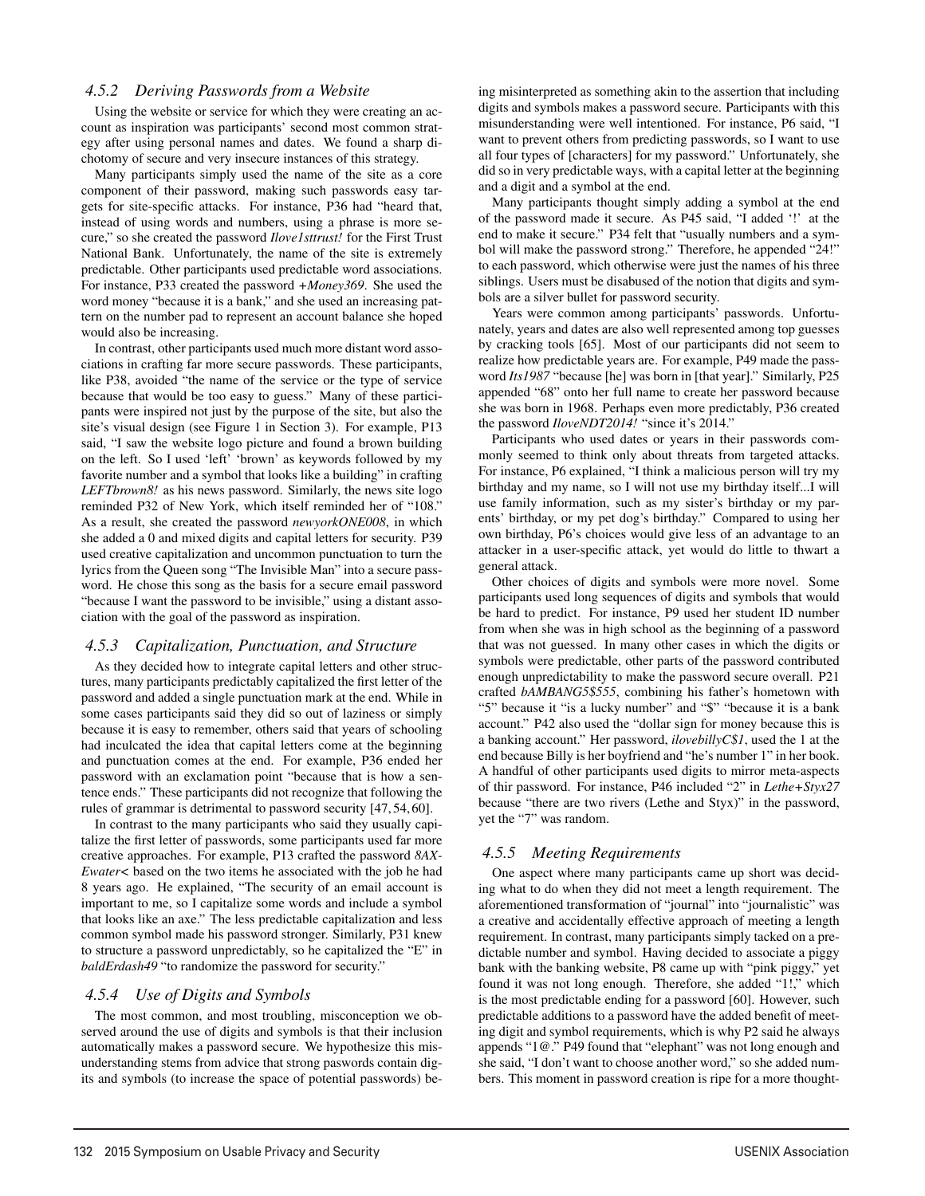### *4.5.2 Deriving Passwords from a Website*

Using the website or service for which they were creating an account as inspiration was participants' second most common strategy after using personal names and dates. We found a sharp dichotomy of secure and very insecure instances of this strategy.

Many participants simply used the name of the site as a core component of their password, making such passwords easy targets for site-specific attacks. For instance, P36 had "heard that, instead of using words and numbers, using a phrase is more secure," so she created the password *Ilove1sttrust!* for the First Trust National Bank. Unfortunately, the name of the site is extremely predictable. Other participants used predictable word associations. For instance, P33 created the password *+Money369*. She used the word money "because it is a bank," and she used an increasing pattern on the number pad to represent an account balance she hoped would also be increasing.

In contrast, other participants used much more distant word associations in crafting far more secure passwords. These participants, like P38, avoided "the name of the service or the type of service because that would be too easy to guess." Many of these participants were inspired not just by the purpose of the site, but also the site's visual design (see Figure 1 in Section 3). For example, P13 said, "I saw the website logo picture and found a brown building on the left. So I used 'left' 'brown' as keywords followed by my favorite number and a symbol that looks like a building" in crafting *LEFTbrown8!* as his news password. Similarly, the news site logo reminded P32 of New York, which itself reminded her of "108." As a result, she created the password *newyorkONE008*, in which she added a 0 and mixed digits and capital letters for security. P39 used creative capitalization and uncommon punctuation to turn the lyrics from the Queen song "The Invisible Man" into a secure password. He chose this song as the basis for a secure email password "because I want the password to be invisible," using a distant association with the goal of the password as inspiration.

### *4.5.3 Capitalization, Punctuation, and Structure*

As they decided how to integrate capital letters and other structures, many participants predictably capitalized the first letter of the password and added a single punctuation mark at the end. While in some cases participants said they did so out of laziness or simply because it is easy to remember, others said that years of schooling had inculcated the idea that capital letters come at the beginning and punctuation comes at the end. For example, P36 ended her password with an exclamation point "because that is how a sentence ends." These participants did not recognize that following the rules of grammar is detrimental to password security [47, 54, 60].

In contrast to the many participants who said they usually capitalize the first letter of passwords, some participants used far more creative approaches. For example, P13 crafted the password *8AX-Ewater<* based on the two items he associated with the job he had 8 years ago. He explained, "The security of an email account is important to me, so I capitalize some words and include a symbol that looks like an axe." The less predictable capitalization and less common symbol made his password stronger. Similarly, P31 knew to structure a password unpredictably, so he capitalized the "E" in *baldErdash49* "to randomize the password for security."

### *4.5.4 Use of Digits and Symbols*

The most common, and most troubling, misconception we observed around the use of digits and symbols is that their inclusion automatically makes a password secure. We hypothesize this misunderstanding stems from advice that strong paswords contain digits and symbols (to increase the space of potential passwords) being misinterpreted as something akin to the assertion that including digits and symbols makes a password secure. Participants with this misunderstanding were well intentioned. For instance, P6 said, "I want to prevent others from predicting passwords, so I want to use all four types of [characters] for my password." Unfortunately, she did so in very predictable ways, with a capital letter at the beginning and a digit and a symbol at the end.

Many participants thought simply adding a symbol at the end of the password made it secure. As P45 said, "I added '!' at the end to make it secure." P34 felt that "usually numbers and a symbol will make the password strong." Therefore, he appended "24!" to each password, which otherwise were just the names of his three siblings. Users must be disabused of the notion that digits and symbols are a silver bullet for password security.

Years were common among participants' passwords. Unfortunately, years and dates are also well represented among top guesses by cracking tools [65]. Most of our participants did not seem to realize how predictable years are. For example, P49 made the password *Its1987* "because [he] was born in [that year]." Similarly, P25 appended "68" onto her full name to create her password because she was born in 1968. Perhaps even more predictably, P36 created the password *IloveNDT2014!* "since it's 2014."

Participants who used dates or years in their passwords commonly seemed to think only about threats from targeted attacks. For instance, P6 explained, "I think a malicious person will try my birthday and my name, so I will not use my birthday itself...I will use family information, such as my sister's birthday or my parents' birthday, or my pet dog's birthday." Compared to using her own birthday, P6's choices would give less of an advantage to an attacker in a user-specific attack, yet would do little to thwart a general attack.

Other choices of digits and symbols were more novel. Some participants used long sequences of digits and symbols that would be hard to predict. For instance, P9 used her student ID number from when she was in high school as the beginning of a password that was not guessed. In many other cases in which the digits or symbols were predictable, other parts of the password contributed enough unpredictability to make the password secure overall. P21 crafted *bAMBANG5\$555*, combining his father's hometown with "5" because it "is a lucky number" and "\$" "because it is a bank account." P42 also used the "dollar sign for money because this is a banking account." Her password, *ilovebillyC\$1*, used the 1 at the end because Billy is her boyfriend and "he's number 1" in her book. A handful of other participants used digits to mirror meta-aspects of thir password. For instance, P46 included "2" in *Lethe+Styx27* because "there are two rivers (Lethe and Styx)" in the password, yet the "7" was random.

### *4.5.5 Meeting Requirements*

10

One aspect where many participants came up short was deciding what to do when they did not meet a length requirement. The aforementioned transformation of "journal" into "journalistic" was a creative and accidentally effective approach of meeting a length requirement. In contrast, many participants simply tacked on a predictable number and symbol. Having decided to associate a piggy bank with the banking website, P8 came up with "pink piggy," yet found it was not long enough. Therefore, she added "1!," which is the most predictable ending for a password [60]. However, such predictable additions to a password have the added benefit of meeting digit and symbol requirements, which is why P2 said he always appends "1@." P49 found that "elephant" was not long enough and she said, "I don't want to choose another word," so she added numbers. This moment in password creation is ripe for a more thought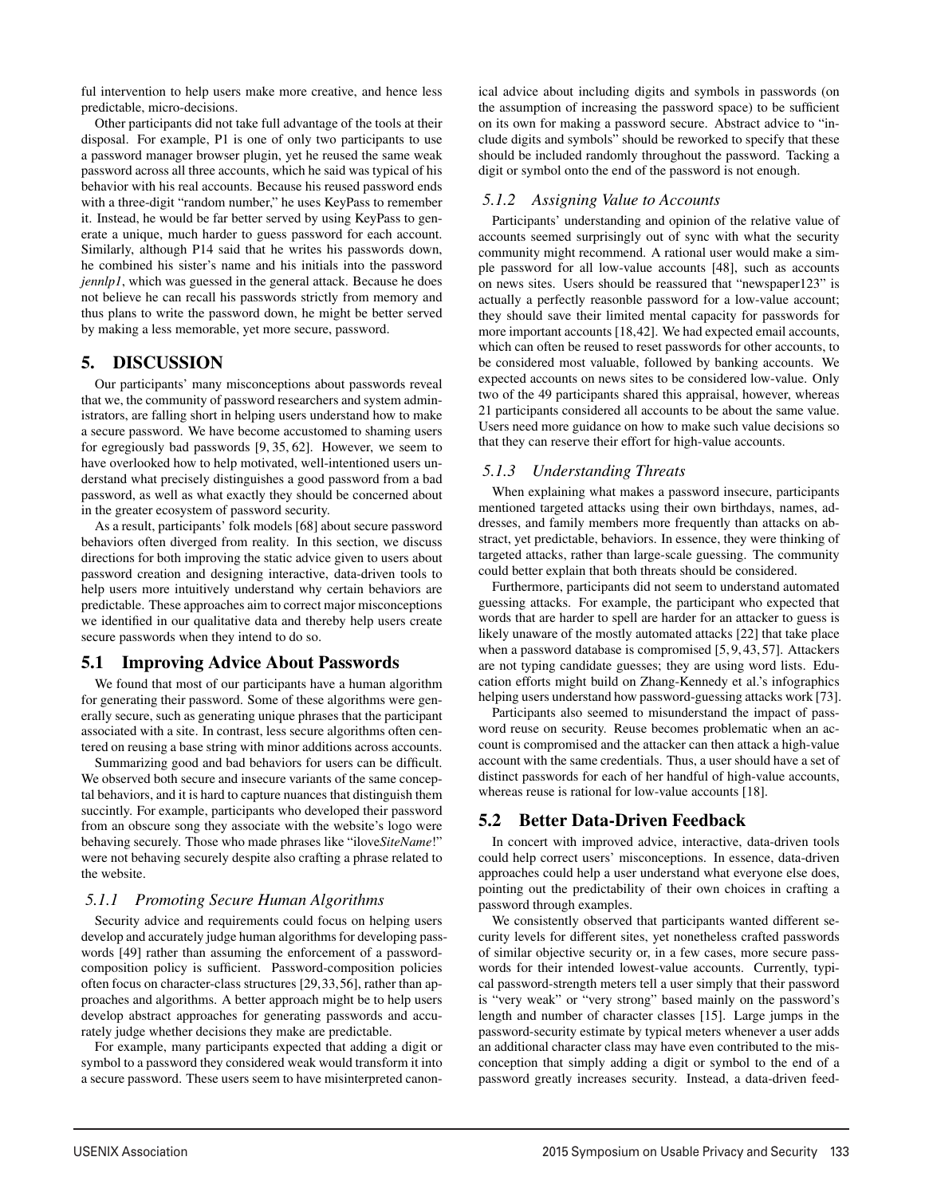ful intervention to help users make more creative, and hence less predictable, micro-decisions.

Other participants did not take full advantage of the tools at their disposal. For example, P1 is one of only two participants to use a password manager browser plugin, yet he reused the same weak password across all three accounts, which he said was typical of his behavior with his real accounts. Because his reused password ends with a three-digit "random number," he uses KeyPass to remember it. Instead, he would be far better served by using KeyPass to generate a unique, much harder to guess password for each account. Similarly, although P14 said that he writes his passwords down, he combined his sister's name and his initials into the password *jennlp1*, which was guessed in the general attack. Because he does not believe he can recall his passwords strictly from memory and thus plans to write the password down, he might be better served by making a less memorable, yet more secure, password.

### 5. DISCUSSION

Our participants' many misconceptions about passwords reveal that we, the community of password researchers and system administrators, are falling short in helping users understand how to make a secure password. We have become accustomed to shaming users for egregiously bad passwords [9, 35, 62]. However, we seem to have overlooked how to help motivated, well-intentioned users understand what precisely distinguishes a good password from a bad password, as well as what exactly they should be concerned about in the greater ecosystem of password security.

As a result, participants' folk models [68] about secure password behaviors often diverged from reality. In this section, we discuss directions for both improving the static advice given to users about password creation and designing interactive, data-driven tools to help users more intuitively understand why certain behaviors are predictable. These approaches aim to correct major misconceptions we identified in our qualitative data and thereby help users create secure passwords when they intend to do so.

# 5.1 Improving Advice About Passwords

We found that most of our participants have a human algorithm for generating their password. Some of these algorithms were generally secure, such as generating unique phrases that the participant associated with a site. In contrast, less secure algorithms often centered on reusing a base string with minor additions across accounts.

Summarizing good and bad behaviors for users can be difficult. We observed both secure and insecure variants of the same conceptal behaviors, and it is hard to capture nuances that distinguish them succintly. For example, participants who developed their password from an obscure song they associate with the website's logo were behaving securely. Those who made phrases like "ilove*SiteName*!" were not behaving securely despite also crafting a phrase related to the website.

### *5.1.1 Promoting Secure Human Algorithms*

Security advice and requirements could focus on helping users develop and accurately judge human algorithms for developing passwords [49] rather than assuming the enforcement of a passwordcomposition policy is sufficient. Password-composition policies often focus on character-class structures [29,33,56], rather than approaches and algorithms. A better approach might be to help users develop abstract approaches for generating passwords and accurately judge whether decisions they make are predictable.

For example, many participants expected that adding a digit or symbol to a password they considered weak would transform it into a secure password. These users seem to have misinterpreted canon-

11

ical advice about including digits and symbols in passwords (on the assumption of increasing the password space) to be sufficient on its own for making a password secure. Abstract advice to "include digits and symbols" should be reworked to specify that these should be included randomly throughout the password. Tacking a digit or symbol onto the end of the password is not enough.

### *5.1.2 Assigning Value to Accounts*

Participants' understanding and opinion of the relative value of accounts seemed surprisingly out of sync with what the security community might recommend. A rational user would make a simple password for all low-value accounts [48], such as accounts on news sites. Users should be reassured that "newspaper123" is actually a perfectly reasonble password for a low-value account; they should save their limited mental capacity for passwords for more important accounts [18,42]. We had expected email accounts, which can often be reused to reset passwords for other accounts, to be considered most valuable, followed by banking accounts. We expected accounts on news sites to be considered low-value. Only two of the 49 participants shared this appraisal, however, whereas 21 participants considered all accounts to be about the same value. Users need more guidance on how to make such value decisions so that they can reserve their effort for high-value accounts.

### *5.1.3 Understanding Threats*

When explaining what makes a password insecure, participants mentioned targeted attacks using their own birthdays, names, addresses, and family members more frequently than attacks on abstract, yet predictable, behaviors. In essence, they were thinking of targeted attacks, rather than large-scale guessing. The community could better explain that both threats should be considered.

Furthermore, participants did not seem to understand automated guessing attacks. For example, the participant who expected that words that are harder to spell are harder for an attacker to guess is likely unaware of the mostly automated attacks [22] that take place when a password database is compromised [5, 9, 43, 57]. Attackers are not typing candidate guesses; they are using word lists. Education efforts might build on Zhang-Kennedy et al.'s infographics helping users understand how password-guessing attacks work [73].

Participants also seemed to misunderstand the impact of password reuse on security. Reuse becomes problematic when an account is compromised and the attacker can then attack a high-value account with the same credentials. Thus, a user should have a set of distinct passwords for each of her handful of high-value accounts, whereas reuse is rational for low-value accounts [18].

# 5.2 Better Data-Driven Feedback

In concert with improved advice, interactive, data-driven tools could help correct users' misconceptions. In essence, data-driven approaches could help a user understand what everyone else does, pointing out the predictability of their own choices in crafting a password through examples.

We consistently observed that participants wanted different security levels for different sites, yet nonetheless crafted passwords of similar objective security or, in a few cases, more secure passwords for their intended lowest-value accounts. Currently, typical password-strength meters tell a user simply that their password is "very weak" or "very strong" based mainly on the password's length and number of character classes [15]. Large jumps in the password-security estimate by typical meters whenever a user adds an additional character class may have even contributed to the misconception that simply adding a digit or symbol to the end of a password greatly increases security. Instead, a data-driven feed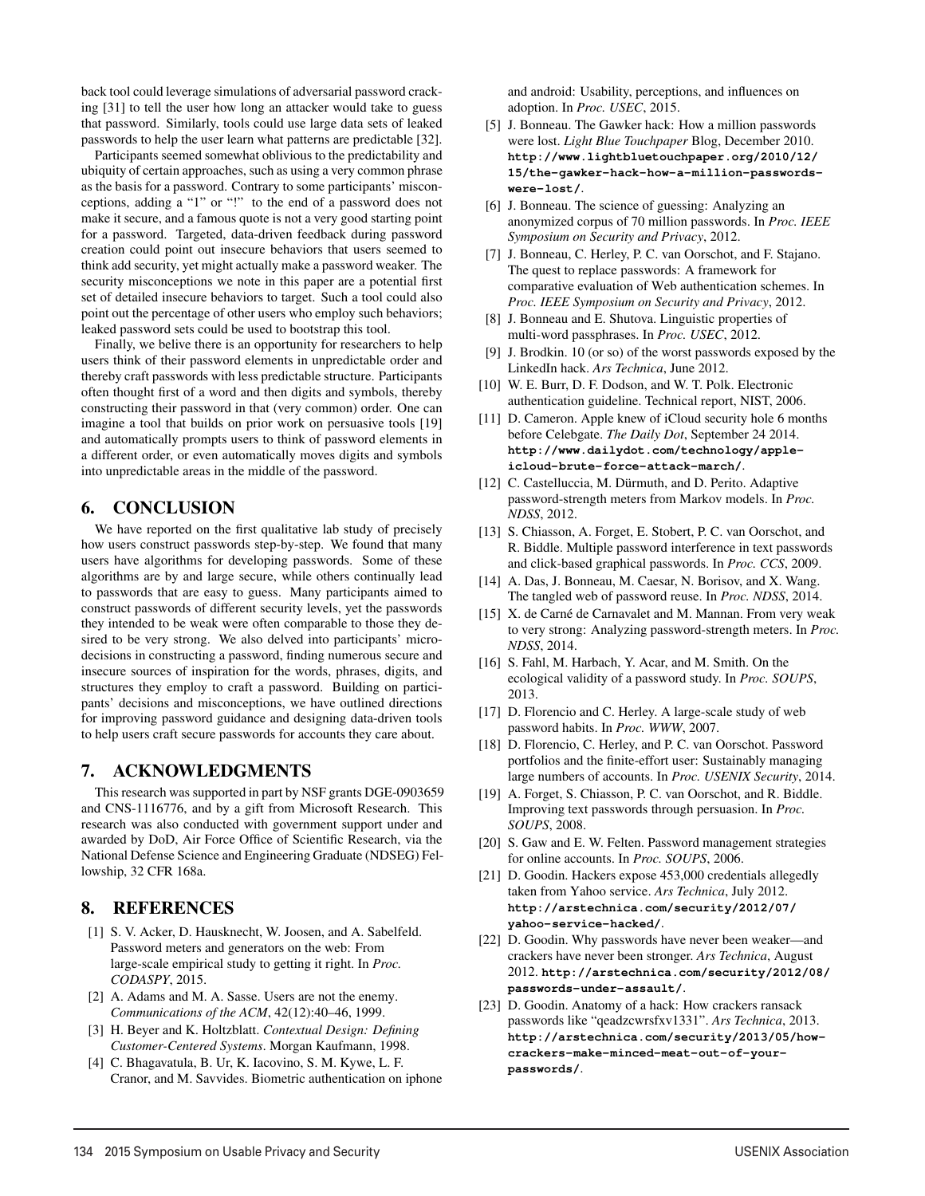back tool could leverage simulations of adversarial password cracking [31] to tell the user how long an attacker would take to guess that password. Similarly, tools could use large data sets of leaked passwords to help the user learn what patterns are predictable [32].

Participants seemed somewhat oblivious to the predictability and ubiquity of certain approaches, such as using a very common phrase as the basis for a password. Contrary to some participants' misconceptions, adding a "1" or "!" to the end of a password does not make it secure, and a famous quote is not a very good starting point for a password. Targeted, data-driven feedback during password creation could point out insecure behaviors that users seemed to think add security, yet might actually make a password weaker. The security misconceptions we note in this paper are a potential first set of detailed insecure behaviors to target. Such a tool could also point out the percentage of other users who employ such behaviors; leaked password sets could be used to bootstrap this tool.

Finally, we belive there is an opportunity for researchers to help users think of their password elements in unpredictable order and thereby craft passwords with less predictable structure. Participants often thought first of a word and then digits and symbols, thereby constructing their password in that (very common) order. One can imagine a tool that builds on prior work on persuasive tools [19] and automatically prompts users to think of password elements in a different order, or even automatically moves digits and symbols into unpredictable areas in the middle of the password.

### 6. CONCLUSION

We have reported on the first qualitative lab study of precisely how users construct passwords step-by-step. We found that many users have algorithms for developing passwords. Some of these algorithms are by and large secure, while others continually lead to passwords that are easy to guess. Many participants aimed to construct passwords of different security levels, yet the passwords they intended to be weak were often comparable to those they desired to be very strong. We also delved into participants' microdecisions in constructing a password, finding numerous secure and insecure sources of inspiration for the words, phrases, digits, and structures they employ to craft a password. Building on participants' decisions and misconceptions, we have outlined directions for improving password guidance and designing data-driven tools to help users craft secure passwords for accounts they care about.

# 7. ACKNOWLEDGMENTS

This research was supported in part by NSF grants DGE-0903659 and CNS-1116776, and by a gift from Microsoft Research. This research was also conducted with government support under and awarded by DoD, Air Force Office of Scientific Research, via the National Defense Science and Engineering Graduate (NDSEG) Fellowship, 32 CFR 168a.

### 8. REFERENCES

- [1] S. V. Acker, D. Hausknecht, W. Joosen, and A. Sabelfeld. Password meters and generators on the web: From large-scale empirical study to getting it right. In *Proc. CODASPY*, 2015.
- [2] A. Adams and M. A. Sasse. Users are not the enemy. *Communications of the ACM*, 42(12):40–46, 1999.
- [3] H. Beyer and K. Holtzblatt. *Contextual Design: Defining Customer-Centered Systems*. Morgan Kaufmann, 1998.
- [4] C. Bhagavatula, B. Ur, K. Iacovino, S. M. Kywe, L. F. Cranor, and M. Savvides. Biometric authentication on iphone

12

and android: Usability, perceptions, and influences on adoption. In *Proc. USEC*, 2015.

- [5] J. Bonneau. The Gawker hack: How a million passwords were lost. *Light Blue Touchpaper* Blog, December 2010. **http://www.lightbluetouchpaper.org/2010/12/ 15/the-gawker-hack-how-a-million-passwordswere-lost/**.
- [6] J. Bonneau. The science of guessing: Analyzing an anonymized corpus of 70 million passwords. In *Proc. IEEE Symposium on Security and Privacy*, 2012.
- [7] J. Bonneau, C. Herley, P. C. van Oorschot, and F. Stajano. The quest to replace passwords: A framework for comparative evaluation of Web authentication schemes. In *Proc. IEEE Symposium on Security and Privacy*, 2012.
- [8] J. Bonneau and E. Shutova. Linguistic properties of multi-word passphrases. In *Proc. USEC*, 2012.
- [9] J. Brodkin. 10 (or so) of the worst passwords exposed by the LinkedIn hack. *Ars Technica*, June 2012.
- [10] W. E. Burr, D. F. Dodson, and W. T. Polk. Electronic authentication guideline. Technical report, NIST, 2006.
- [11] D. Cameron. Apple knew of iCloud security hole 6 months before Celebgate. *The Daily Dot*, September 24 2014. **http://www.dailydot.com/technology/appleicloud-brute-force-attack-march/**.
- [12] C. Castelluccia, M. Dürmuth, and D. Perito. Adaptive password-strength meters from Markov models. In *Proc. NDSS*, 2012.
- [13] S. Chiasson, A. Forget, E. Stobert, P. C. van Oorschot, and R. Biddle. Multiple password interference in text passwords and click-based graphical passwords. In *Proc. CCS*, 2009.
- [14] A. Das, J. Bonneau, M. Caesar, N. Borisov, and X. Wang. The tangled web of password reuse. In *Proc. NDSS*, 2014.
- [15] X. de Carné de Carnavalet and M. Mannan. From very weak to very strong: Analyzing password-strength meters. In *Proc. NDSS*, 2014.
- [16] S. Fahl, M. Harbach, Y. Acar, and M. Smith. On the ecological validity of a password study. In *Proc. SOUPS*, 2013.
- [17] D. Florencio and C. Herley. A large-scale study of web password habits. In *Proc. WWW*, 2007.
- [18] D. Florencio, C. Herley, and P. C. van Oorschot. Password portfolios and the finite-effort user: Sustainably managing large numbers of accounts. In *Proc. USENIX Security*, 2014.
- [19] A. Forget, S. Chiasson, P. C. van Oorschot, and R. Biddle. Improving text passwords through persuasion. In *Proc. SOUPS*, 2008.
- [20] S. Gaw and E. W. Felten. Password management strategies for online accounts. In *Proc. SOUPS*, 2006.
- [21] D. Goodin. Hackers expose 453,000 credentials allegedly taken from Yahoo service. *Ars Technica*, July 2012. **http://arstechnica.com/security/2012/07/ yahoo-service-hacked/**.
- [22] D. Goodin. Why passwords have never been weaker—and crackers have never been stronger. *Ars Technica*, August 2012. **http://arstechnica.com/security/2012/08/ passwords-under-assault/**.
- [23] D. Goodin. Anatomy of a hack: How crackers ransack passwords like "qeadzcwrsfxv1331". *Ars Technica*, 2013. **http://arstechnica.com/security/2013/05/howcrackers-make-minced-meat-out-of-yourpasswords/**.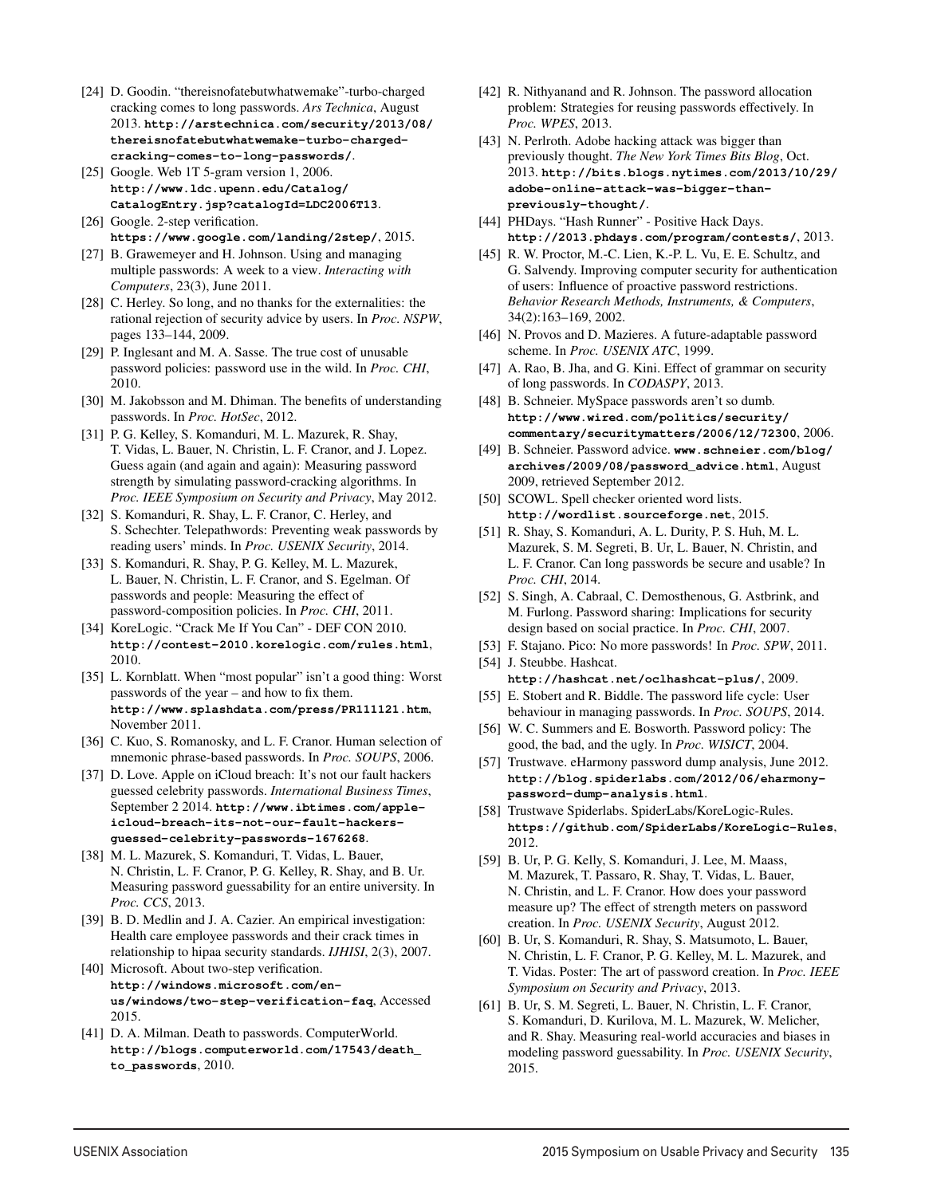- [24] D. Goodin. "thereisnofatebutwhatwemake"-turbo-charged cracking comes to long passwords. *Ars Technica*, August 2013. **http://arstechnica.com/security/2013/08/ thereisnofatebutwhatwemake-turbo-chargedcracking-comes-to-long-passwords/**.
- [25] Google. Web 1T 5-gram version 1, 2006. **http://www.ldc.upenn.edu/Catalog/ CatalogEntry.jsp?catalogId=LDC2006T13**.
- [26] Google. 2-step verification. **https://www.google.com/landing/2step/**, 2015.
- [27] B. Grawemeyer and H. Johnson. Using and managing multiple passwords: A week to a view. *Interacting with Computers*, 23(3), June 2011.
- [28] C. Herley. So long, and no thanks for the externalities: the rational rejection of security advice by users. In *Proc. NSPW*, pages 133–144, 2009.
- [29] P. Inglesant and M. A. Sasse. The true cost of unusable password policies: password use in the wild. In *Proc. CHI*, 2010.
- [30] M. Jakobsson and M. Dhiman. The benefits of understanding passwords. In *Proc. HotSec*, 2012.
- [31] P. G. Kelley, S. Komanduri, M. L. Mazurek, R. Shay, T. Vidas, L. Bauer, N. Christin, L. F. Cranor, and J. Lopez. Guess again (and again and again): Measuring password strength by simulating password-cracking algorithms. In *Proc. IEEE Symposium on Security and Privacy*, May 2012.
- [32] S. Komanduri, R. Shay, L. F. Cranor, C. Herley, and S. Schechter. Telepathwords: Preventing weak passwords by reading users' minds. In *Proc. USENIX Security*, 2014.
- [33] S. Komanduri, R. Shay, P. G. Kelley, M. L. Mazurek, L. Bauer, N. Christin, L. F. Cranor, and S. Egelman. Of passwords and people: Measuring the effect of password-composition policies. In *Proc. CHI*, 2011.
- [34] KoreLogic. "Crack Me If You Can" DEF CON 2010. **http://contest-2010.korelogic.com/rules.html**, 2010.
- [35] L. Kornblatt. When "most popular" isn't a good thing: Worst passwords of the year – and how to fix them. **http://www.splashdata.com/press/PR111121.htm**, November 2011.
- [36] C. Kuo, S. Romanosky, and L. F. Cranor. Human selection of mnemonic phrase-based passwords. In *Proc. SOUPS*, 2006.
- [37] D. Love. Apple on iCloud breach: It's not our fault hackers guessed celebrity passwords. *International Business Times*, September 2 2014. **http://www.ibtimes.com/appleicloud-breach-its-not-our-fault-hackersguessed-celebrity-passwords-1676268**.
- [38] M. L. Mazurek, S. Komanduri, T. Vidas, L. Bauer, N. Christin, L. F. Cranor, P. G. Kelley, R. Shay, and B. Ur. Measuring password guessability for an entire university. In *Proc. CCS*, 2013.
- [39] B. D. Medlin and J. A. Cazier. An empirical investigation: Health care employee passwords and their crack times in relationship to hipaa security standards. *IJHISI*, 2(3), 2007.
- [40] Microsoft. About two-step verification. **http://windows.microsoft.com/enus/windows/two-step-verification-faq**, Accessed 2015.
- [41] D. A. Milman. Death to passwords. ComputerWorld. **http://blogs.computerworld.com/17543/death\_ to\_passwords**, 2010.
- [42] R. Nithyanand and R. Johnson. The password allocation problem: Strategies for reusing passwords effectively. In *Proc. WPES*, 2013.
- [43] N. Perlroth. Adobe hacking attack was bigger than previously thought. *The New York Times Bits Blog*, Oct. 2013. **http://bits.blogs.nytimes.com/2013/10/29/ adobe-online-attack-was-bigger-thanpreviously-thought/**.
- [44] PHDays. "Hash Runner" Positive Hack Days. **http://2013.phdays.com/program/contests/**, 2013.
- [45] R. W. Proctor, M.-C. Lien, K.-P. L. Vu, E. E. Schultz, and G. Salvendy. Improving computer security for authentication of users: Influence of proactive password restrictions. *Behavior Research Methods, Instruments, & Computers*, 34(2):163–169, 2002.
- [46] N. Provos and D. Mazieres. A future-adaptable password scheme. In *Proc. USENIX ATC*, 1999.
- [47] A. Rao, B. Jha, and G. Kini. Effect of grammar on security of long passwords. In *CODASPY*, 2013.
- [48] B. Schneier. MySpace passwords aren't so dumb. **http://www.wired.com/politics/security/ commentary/securitymatters/2006/12/72300**, 2006.
- [49] B. Schneier. Password advice. **www.schneier.com/blog/ archives/2009/08/password\_advice.html**, August 2009, retrieved September 2012.
- [50] SCOWL. Spell checker oriented word lists. **http://wordlist.sourceforge.net**, 2015.
- [51] R. Shay, S. Komanduri, A. L. Durity, P. S. Huh, M. L. Mazurek, S. M. Segreti, B. Ur, L. Bauer, N. Christin, and L. F. Cranor. Can long passwords be secure and usable? In *Proc. CHI*, 2014.
- [52] S. Singh, A. Cabraal, C. Demosthenous, G. Astbrink, and M. Furlong. Password sharing: Implications for security design based on social practice. In *Proc. CHI*, 2007.
- [53] F. Stajano. Pico: No more passwords! In *Proc. SPW*, 2011. [54] J. Steubbe. Hashcat.
- **http://hashcat.net/oclhashcat-plus/**, 2009. [55] E. Stobert and R. Biddle. The password life cycle: User behaviour in managing passwords. In *Proc. SOUPS*, 2014.
- [56] W. C. Summers and E. Bosworth. Password policy: The good, the bad, and the ugly. In *Proc. WISICT*, 2004.
- [57] Trustwave. eHarmony password dump analysis, June 2012. **http://blog.spiderlabs.com/2012/06/eharmonypassword-dump-analysis.html**.
- [58] Trustwave Spiderlabs. SpiderLabs/KoreLogic-Rules. **https://github.com/SpiderLabs/KoreLogic-Rules**, 2012.
- [59] B. Ur, P. G. Kelly, S. Komanduri, J. Lee, M. Maass, M. Mazurek, T. Passaro, R. Shay, T. Vidas, L. Bauer, N. Christin, and L. F. Cranor. How does your password measure up? The effect of strength meters on password creation. In *Proc. USENIX Security*, August 2012.
- [60] B. Ur, S. Komanduri, R. Shay, S. Matsumoto, L. Bauer, N. Christin, L. F. Cranor, P. G. Kelley, M. L. Mazurek, and T. Vidas. Poster: The art of password creation. In *Proc. IEEE Symposium on Security and Privacy*, 2013.
- [61] B. Ur, S. M. Segreti, L. Bauer, N. Christin, L. F. Cranor, S. Komanduri, D. Kurilova, M. L. Mazurek, W. Melicher, and R. Shay. Measuring real-world accuracies and biases in modeling password guessability. In *Proc. USENIX Security*, 2015.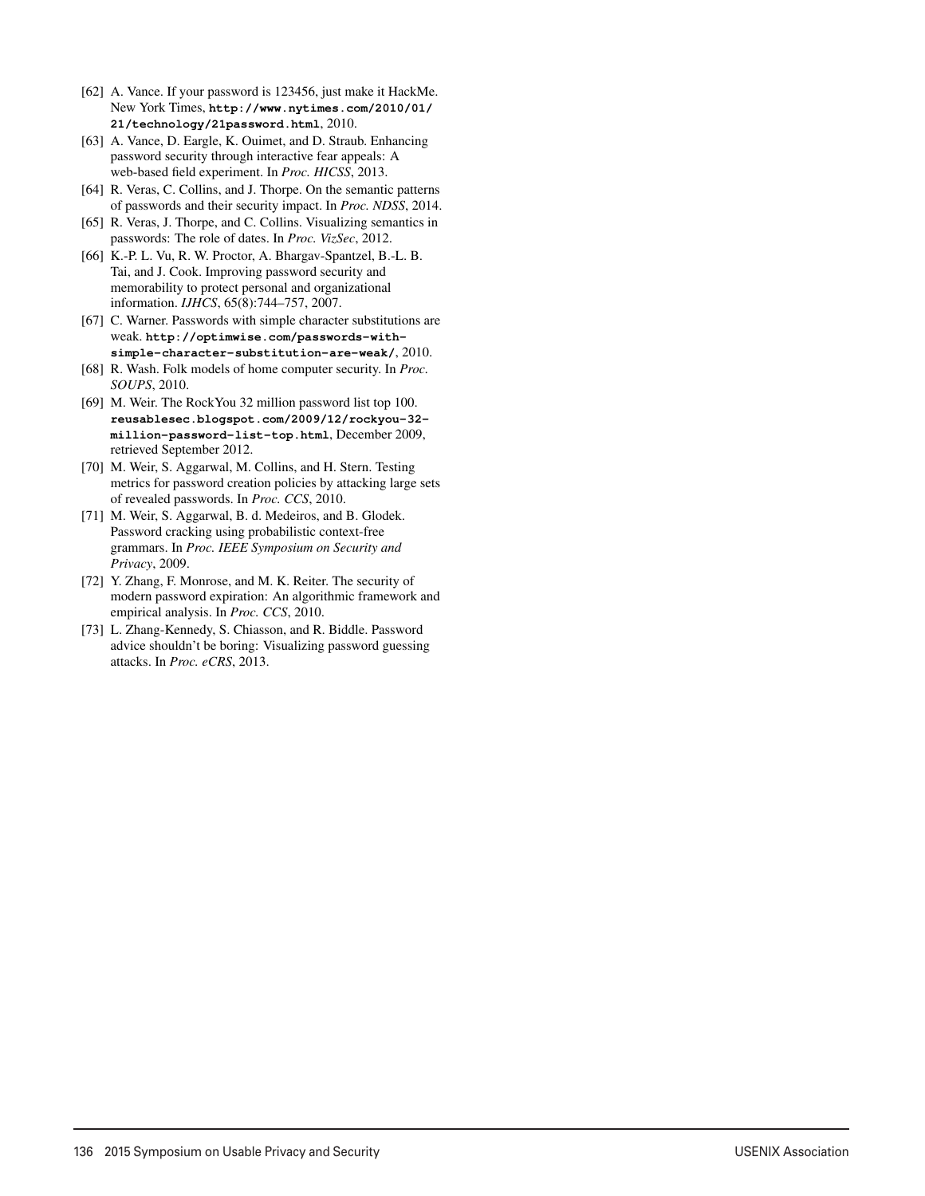- [62] A. Vance. If your password is 123456, just make it HackMe. New York Times, **http://www.nytimes.com/2010/01/ 21/technology/21password.html**, 2010.
- [63] A. Vance, D. Eargle, K. Ouimet, and D. Straub. Enhancing password security through interactive fear appeals: A web-based field experiment. In *Proc. HICSS*, 2013.
- [64] R. Veras, C. Collins, and J. Thorpe. On the semantic patterns of passwords and their security impact. In *Proc. NDSS*, 2014.
- [65] R. Veras, J. Thorpe, and C. Collins. Visualizing semantics in passwords: The role of dates. In *Proc. VizSec*, 2012.
- [66] K.-P. L. Vu, R. W. Proctor, A. Bhargav-Spantzel, B.-L. B. Tai, and J. Cook. Improving password security and memorability to protect personal and organizational information. *IJHCS*, 65(8):744–757, 2007.
- [67] C. Warner. Passwords with simple character substitutions are weak. **http://optimwise.com/passwords-withsimple-character-substitution-are-weak/**, 2010.
- [68] R. Wash. Folk models of home computer security. In *Proc. SOUPS*, 2010.
- [69] M. Weir. The RockYou 32 million password list top 100. **reusablesec.blogspot.com/2009/12/rockyou-32 million-password-list-top.html**, December 2009, retrieved September 2012.
- [70] M. Weir, S. Aggarwal, M. Collins, and H. Stern. Testing metrics for password creation policies by attacking large sets of revealed passwords. In *Proc. CCS*, 2010.
- [71] M. Weir, S. Aggarwal, B. d. Medeiros, and B. Glodek. Password cracking using probabilistic context-free grammars. In *Proc. IEEE Symposium on Security and Privacy*, 2009.
- [72] Y. Zhang, F. Monrose, and M. K. Reiter. The security of modern password expiration: An algorithmic framework and empirical analysis. In *Proc. CCS*, 2010.
- [73] L. Zhang-Kennedy, S. Chiasson, and R. Biddle. Password advice shouldn't be boring: Visualizing password guessing attacks. In *Proc. eCRS*, 2013.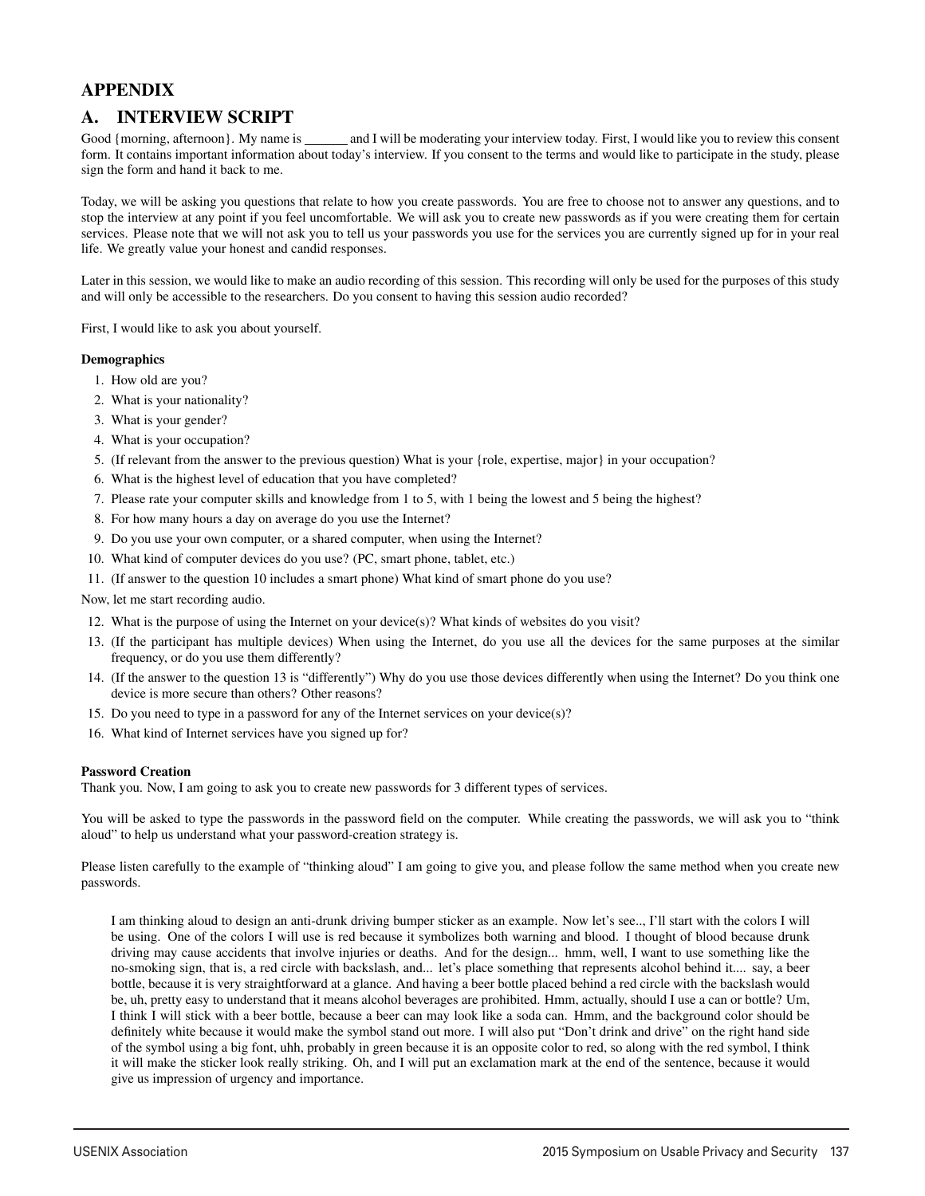# APPENDIX

# A. INTERVIEW SCRIPT

Good {morning, afternoon}. My name is \_\_\_\_\_\_\_ and I will be moderating your interview today. First, I would like you to review this consent form. It contains important information about today's interview. If you consent to the terms and would like to participate in the study, please sign the form and hand it back to me.

Today, we will be asking you questions that relate to how you create passwords. You are free to choose not to answer any questions, and to stop the interview at any point if you feel uncomfortable. We will ask you to create new passwords as if you were creating them for certain services. Please note that we will not ask you to tell us your passwords you use for the services you are currently signed up for in your real life. We greatly value your honest and candid responses.

Later in this session, we would like to make an audio recording of this session. This recording will only be used for the purposes of this study and will only be accessible to the researchers. Do you consent to having this session audio recorded?

First, I would like to ask you about yourself.

### **Demographics**

- 1. How old are you?
- 2. What is your nationality?
- 3. What is your gender?
- 4. What is your occupation?
- 5. (If relevant from the answer to the previous question) What is your {role, expertise, major} in your occupation?
- 6. What is the highest level of education that you have completed?
- 7. Please rate your computer skills and knowledge from 1 to 5, with 1 being the lowest and 5 being the highest?
- 8. For how many hours a day on average do you use the Internet?
- 9. Do you use your own computer, or a shared computer, when using the Internet?
- 10. What kind of computer devices do you use? (PC, smart phone, tablet, etc.)
- 11. (If answer to the question 10 includes a smart phone) What kind of smart phone do you use?

Now, let me start recording audio.

- 12. What is the purpose of using the Internet on your device(s)? What kinds of websites do you visit?
- 13. (If the participant has multiple devices) When using the Internet, do you use all the devices for the same purposes at the similar frequency, or do you use them differently?
- 14. (If the answer to the question 13 is "differently") Why do you use those devices differently when using the Internet? Do you think one device is more secure than others? Other reasons?
- 15. Do you need to type in a password for any of the Internet services on your device(s)?
- 16. What kind of Internet services have you signed up for?

### Password Creation

Thank you. Now, I am going to ask you to create new passwords for 3 different types of services.

You will be asked to type the passwords in the password field on the computer. While creating the passwords, we will ask you to "think aloud" to help us understand what your password-creation strategy is.

Please listen carefully to the example of "thinking aloud" I am going to give you, and please follow the same method when you create new passwords.

I am thinking aloud to design an anti-drunk driving bumper sticker as an example. Now let's see.., I'll start with the colors I will be using. One of the colors I will use is red because it symbolizes both warning and blood. I thought of blood because drunk driving may cause accidents that involve injuries or deaths. And for the design... hmm, well, I want to use something like the no-smoking sign, that is, a red circle with backslash, and... let's place something that represents alcohol behind it.... say, a beer bottle, because it is very straightforward at a glance. And having a beer bottle placed behind a red circle with the backslash would be, uh, pretty easy to understand that it means alcohol beverages are prohibited. Hmm, actually, should I use a can or bottle? Um, I think I will stick with a beer bottle, because a beer can may look like a soda can. Hmm, and the background color should be definitely white because it would make the symbol stand out more. I will also put "Don't drink and drive" on the right hand side of the symbol using a big font, uhh, probably in green because it is an opposite color to red, so along with the red symbol, I think it will make the sticker look really striking. Oh, and I will put an exclamation mark at the end of the sentence, because it would give us impression of urgency and importance.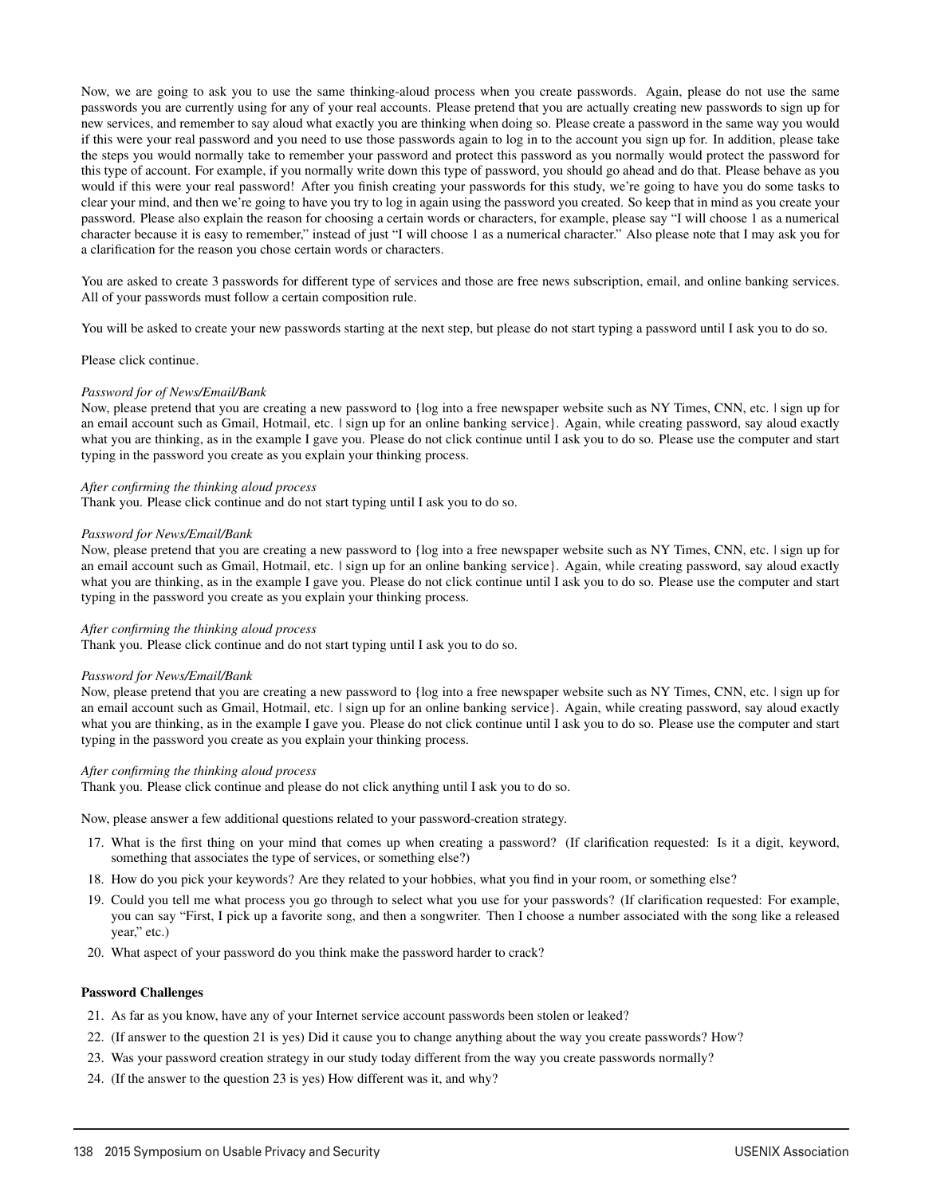Now, we are going to ask you to use the same thinking-aloud process when you create passwords. Again, please do not use the same passwords you are currently using for any of your real accounts. Please pretend that you are actually creating new passwords to sign up for new services, and remember to say aloud what exactly you are thinking when doing so. Please create a password in the same way you would if this were your real password and you need to use those passwords again to log in to the account you sign up for. In addition, please take the steps you would normally take to remember your password and protect this password as you normally would protect the password for this type of account. For example, if you normally write down this type of password, you should go ahead and do that. Please behave as you would if this were your real password! After you finish creating your passwords for this study, we're going to have you do some tasks to clear your mind, and then we're going to have you try to log in again using the password you created. So keep that in mind as you create your password. Please also explain the reason for choosing a certain words or characters, for example, please say "I will choose 1 as a numerical character because it is easy to remember," instead of just "I will choose 1 as a numerical character." Also please note that I may ask you for a clarification for the reason you chose certain words or characters.

You are asked to create 3 passwords for different type of services and those are free news subscription, email, and online banking services. All of your passwords must follow a certain composition rule.

You will be asked to create your new passwords starting at the next step, but please do not start typing a password until I ask you to do so.

Please click continue.

#### *Password for of News/Email/Bank*

Now, please pretend that you are creating a new password to {log into a free newspaper website such as NY Times, CNN, etc. | sign up for an email account such as Gmail, Hotmail, etc. | sign up for an online banking service}. Again, while creating password, say aloud exactly what you are thinking, as in the example I gave you. Please do not click continue until I ask you to do so. Please use the computer and start typing in the password you create as you explain your thinking process.

#### *After confirming the thinking aloud process*

Thank you. Please click continue and do not start typing until I ask you to do so.

#### *Password for News/Email/Bank*

Now, please pretend that you are creating a new password to {log into a free newspaper website such as NY Times, CNN, etc. | sign up for an email account such as Gmail, Hotmail, etc. | sign up for an online banking service}. Again, while creating password, say aloud exactly what you are thinking, as in the example I gave you. Please do not click continue until I ask you to do so. Please use the computer and start typing in the password you create as you explain your thinking process.

#### *After confirming the thinking aloud process*

Thank you. Please click continue and do not start typing until I ask you to do so.

#### *Password for News/Email/Bank*

Now, please pretend that you are creating a new password to {log into a free newspaper website such as NY Times, CNN, etc. | sign up for an email account such as Gmail, Hotmail, etc. | sign up for an online banking service}. Again, while creating password, say aloud exactly what you are thinking, as in the example I gave you. Please do not click continue until I ask you to do so. Please use the computer and start typing in the password you create as you explain your thinking process.

#### *After confirming the thinking aloud process*

Thank you. Please click continue and please do not click anything until I ask you to do so.

Now, please answer a few additional questions related to your password-creation strategy.

- 17. What is the first thing on your mind that comes up when creating a password? (If clarification requested: Is it a digit, keyword, something that associates the type of services, or something else?)
- 18. How do you pick your keywords? Are they related to your hobbies, what you find in your room, or something else?
- 19. Could you tell me what process you go through to select what you use for your passwords? (If clarification requested: For example, you can say "First, I pick up a favorite song, and then a songwriter. Then I choose a number associated with the song like a released year," etc.)

16

20. What aspect of your password do you think make the password harder to crack?

### Password Challenges

- 21. As far as you know, have any of your Internet service account passwords been stolen or leaked?
- 22. (If answer to the question 21 is yes) Did it cause you to change anything about the way you create passwords? How?
- 23. Was your password creation strategy in our study today different from the way you create passwords normally?
- 24. (If the answer to the question 23 is yes) How different was it, and why?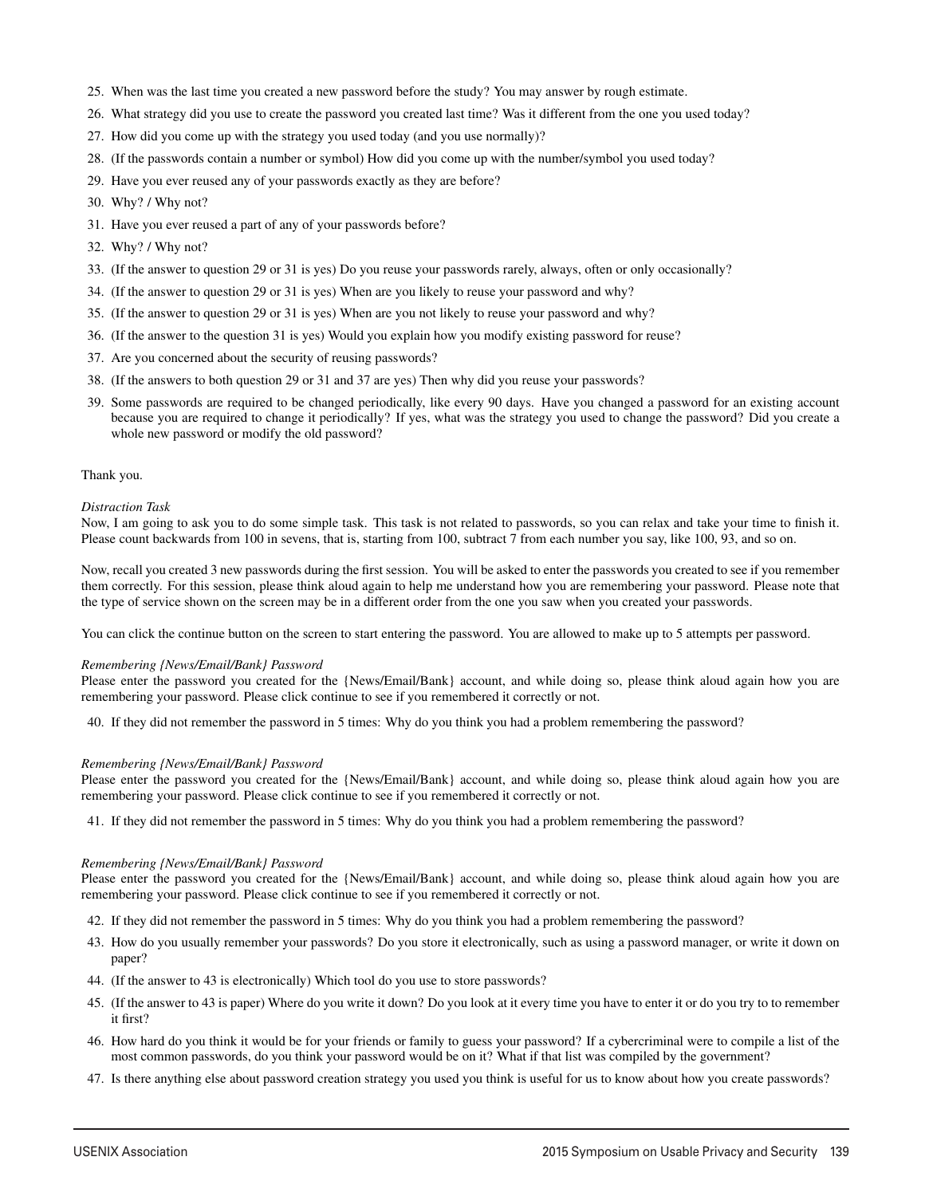- 25. When was the last time you created a new password before the study? You may answer by rough estimate.
- 26. What strategy did you use to create the password you created last time? Was it different from the one you used today?
- 27. How did you come up with the strategy you used today (and you use normally)?
- 28. (If the passwords contain a number or symbol) How did you come up with the number/symbol you used today?
- 29. Have you ever reused any of your passwords exactly as they are before?
- 30. Why? / Why not?
- 31. Have you ever reused a part of any of your passwords before?
- 32. Why? / Why not?
- 33. (If the answer to question 29 or 31 is yes) Do you reuse your passwords rarely, always, often or only occasionally?
- 34. (If the answer to question 29 or 31 is yes) When are you likely to reuse your password and why?
- 35. (If the answer to question 29 or 31 is yes) When are you not likely to reuse your password and why?
- 36. (If the answer to the question 31 is yes) Would you explain how you modify existing password for reuse?
- 37. Are you concerned about the security of reusing passwords?
- 38. (If the answers to both question 29 or 31 and 37 are yes) Then why did you reuse your passwords?
- 39. Some passwords are required to be changed periodically, like every 90 days. Have you changed a password for an existing account because you are required to change it periodically? If yes, what was the strategy you used to change the password? Did you create a whole new password or modify the old password?

### Thank you.

### *Distraction Task*

Now, I am going to ask you to do some simple task. This task is not related to passwords, so you can relax and take your time to finish it. Please count backwards from 100 in sevens, that is, starting from 100, subtract 7 from each number you say, like 100, 93, and so on.

Now, recall you created 3 new passwords during the first session. You will be asked to enter the passwords you created to see if you remember them correctly. For this session, please think aloud again to help me understand how you are remembering your password. Please note that the type of service shown on the screen may be in a different order from the one you saw when you created your passwords.

You can click the continue button on the screen to start entering the password. You are allowed to make up to 5 attempts per password.

### *Remembering {News/Email/Bank} Password*

Please enter the password you created for the {News/Email/Bank} account, and while doing so, please think aloud again how you are remembering your password. Please click continue to see if you remembered it correctly or not.

40. If they did not remember the password in 5 times: Why do you think you had a problem remembering the password?

### *Remembering {News/Email/Bank} Password*

Please enter the password you created for the {News/Email/Bank} account, and while doing so, please think aloud again how you are remembering your password. Please click continue to see if you remembered it correctly or not.

41. If they did not remember the password in 5 times: Why do you think you had a problem remembering the password?

### *Remembering {News/Email/Bank} Password*

Please enter the password you created for the {News/Email/Bank} account, and while doing so, please think aloud again how you are remembering your password. Please click continue to see if you remembered it correctly or not.

- 42. If they did not remember the password in 5 times: Why do you think you had a problem remembering the password?
- 43. How do you usually remember your passwords? Do you store it electronically, such as using a password manager, or write it down on paper?
- 44. (If the answer to 43 is electronically) Which tool do you use to store passwords?
- 45. (If the answer to 43 is paper) Where do you write it down? Do you look at it every time you have to enter it or do you try to to remember it first?
- 46. How hard do you think it would be for your friends or family to guess your password? If a cybercriminal were to compile a list of the most common passwords, do you think your password would be on it? What if that list was compiled by the government?
- 47. Is there anything else about password creation strategy you used you think is useful for us to know about how you create passwords?